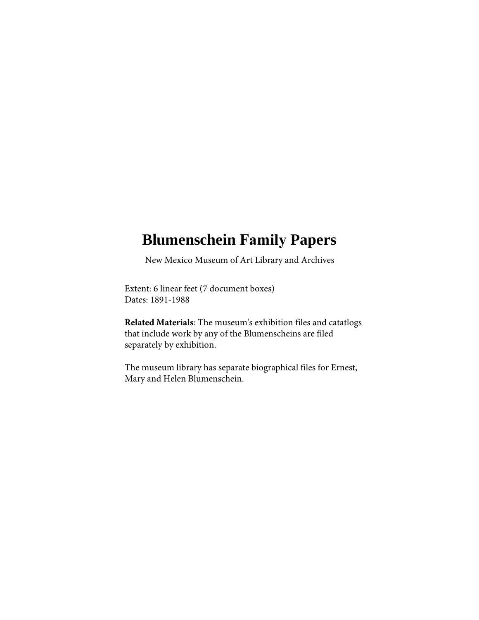# **Blumenschein Family Papers**

New Mexico Museum of Art Library and Archives

Extent: 6 linear feet (7 document boxes) Dates: 1891-1988

**Related Materials**: The museum's exhibition files and catatlogs that include work by any of the Blumenscheins are filed separately by exhibition.

The museum library has separate biographical files for Ernest, Mary and Helen Blumenschein.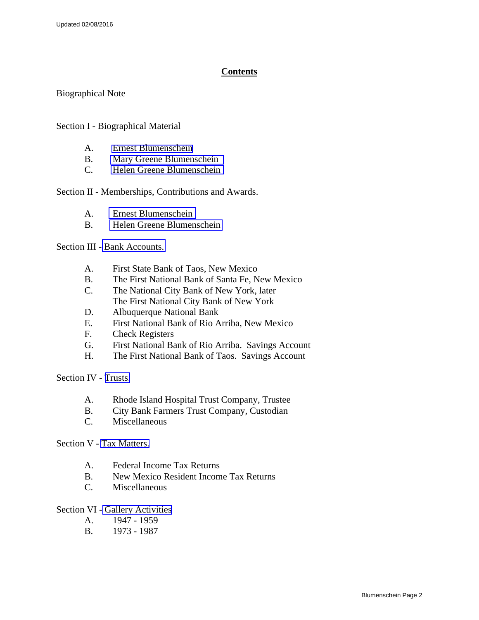### **Contents**

Biographical Note

Section I - Biographical Material

- A. [Ernest Blumenschein](#page-5-0)
- B. [Mary Greene Blumenschein](#page-5-0)
- C. [Helen Greene Blumenschein](#page-6-0)

Section II - Memberships, Contributions and Awards.

- A. [Ernest Blumenschein](#page-8-0)
- B. [Helen Greene Blumenschein](#page-8-0)

Section III - [Bank Accounts.](#page-10-0) 

- A. First State Bank of Taos, New Mexico
- B. The First National Bank of Santa Fe, New Mexico
- C. The National City Bank of New York, later The First National City Bank of New York
- D. Albuquerque National Bank
- E. First National Bank of Rio Arriba, New Mexico
- F. Check Registers
- G. First National Bank of Rio Arriba. Savings Account
- H. The First National Bank of Taos. Savings Account

Section IV - [Trusts.](#page-15-0)

- A. Rhode Island Hospital Trust Company, Trustee
- B. City Bank Farmers Trust Company, Custodian
- C. Miscellaneous

Section V - [Tax Matters.](#page-19-0)

- A. Federal Income Tax Returns
- B. New Mexico Resident Income Tax Returns
- C. Miscellaneous

Section VI - [Gallery Activities](#page-23-0)

- A. 1947 1959
- B. 1973 1987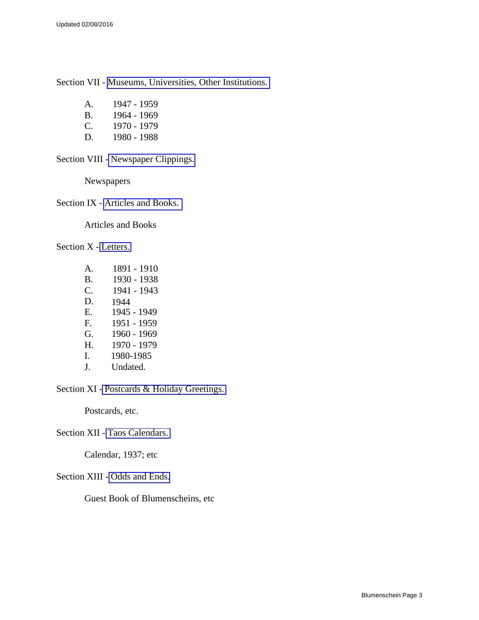Section VII - [Museums, Universities, Other Institutions.](#page-28-0) 

| A. | 1947 - 1959 |  |
|----|-------------|--|
|    |             |  |

B. 1964 - 1969

C. 1970 - 1979

D. 1980 - 1988

Section VIII - [Newspaper Clippings.](#page-33-0) 

Newspapers

Section IX - [Articles and Books.](#page-34-0) 

Articles and Books

Section X - [Letters.](#page-36-0) 

| $\mathbf{A}$ | 1891 - 1910 |
|--------------|-------------|
| <b>B.</b>    | 1930 - 1938 |
| C.           | 1941 - 1943 |
| D.           | 1944        |
| Ε.           | 1945 - 1949 |
| F.           | 1951 - 1959 |
| G.           | 1960 - 1969 |
| Η.           | 1970 - 1979 |
| I.           | 1980-1985   |
| $\mathbf{I}$ | Undated.    |

Section XI - [Postcards & Holiday Greetings.](#page-54-0) 

Postcards, etc.

Section XII - [Taos Calendars.](#page-55-0) 

Calendar, 1937; etc

Section XIII - [Odds and Ends.](#page-56-0)

Guest Book of Blumenscheins, etc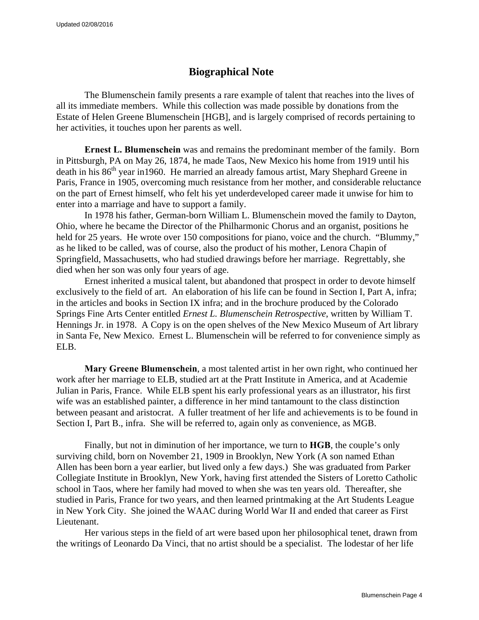## **Biographical Note**

The Blumenschein family presents a rare example of talent that reaches into the lives of all its immediate members. While this collection was made possible by donations from the Estate of Helen Greene Blumenschein [HGB], and is largely comprised of records pertaining to her activities, it touches upon her parents as well.

**Ernest L. Blumenschein** was and remains the predominant member of the family. Born in Pittsburgh, PA on May 26, 1874, he made Taos, New Mexico his home from 1919 until his death in his 86<sup>th</sup> year in 1960. He married an already famous artist, Mary Shephard Greene in Paris, France in 1905, overcoming much resistance from her mother, and considerable reluctance on the part of Ernest himself, who felt his yet underdeveloped career made it unwise for him to enter into a marriage and have to support a family.

In 1978 his father, German-born William L. Blumenschein moved the family to Dayton, Ohio, where he became the Director of the Philharmonic Chorus and an organist, positions he held for 25 years. He wrote over 150 compositions for piano, voice and the church. "Blummy," as he liked to be called, was of course, also the product of his mother, Lenora Chapin of Springfield, Massachusetts, who had studied drawings before her marriage. Regrettably, she died when her son was only four years of age.

Ernest inherited a musical talent, but abandoned that prospect in order to devote himself exclusively to the field of art. An elaboration of his life can be found in Section I, Part A, infra; in the articles and books in Section IX infra; and in the brochure produced by the Colorado Springs Fine Arts Center entitled *Ernest L. Blumenschein Retrospective*, written by William T. Hennings Jr. in 1978. A Copy is on the open shelves of the New Mexico Museum of Art library in Santa Fe, New Mexico. Ernest L. Blumenschein will be referred to for convenience simply as ELB.

**Mary Greene Blumenschein**, a most talented artist in her own right, who continued her work after her marriage to ELB, studied art at the Pratt Institute in America, and at Academie Julian in Paris, France. While ELB spent his early professional years as an illustrator, his first wife was an established painter, a difference in her mind tantamount to the class distinction between peasant and aristocrat. A fuller treatment of her life and achievements is to be found in Section I, Part B., infra. She will be referred to, again only as convenience, as MGB.

Finally, but not in diminution of her importance, we turn to **HGB**, the couple's only surviving child, born on November 21, 1909 in Brooklyn, New York (A son named Ethan Allen has been born a year earlier, but lived only a few days.) She was graduated from Parker Collegiate Institute in Brooklyn, New York, having first attended the Sisters of Loretto Catholic school in Taos, where her family had moved to when she was ten years old. Thereafter, she studied in Paris, France for two years, and then learned printmaking at the Art Students League in New York City. She joined the WAAC during World War II and ended that career as First Lieutenant.

Her various steps in the field of art were based upon her philosophical tenet, drawn from the writings of Leonardo Da Vinci, that no artist should be a specialist. The lodestar of her life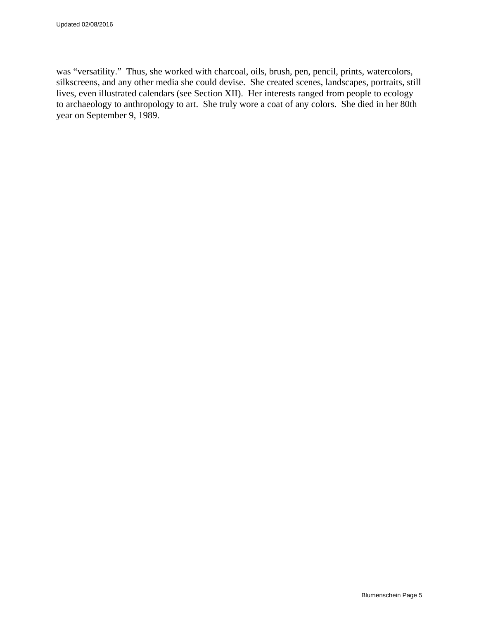was "versatility." Thus, she worked with charcoal, oils, brush, pen, pencil, prints, watercolors, silkscreens, and any other media she could devise. She created scenes, landscapes, portraits, still lives, even illustrated calendars (see Section XII). Her interests ranged from people to ecology to archaeology to anthropology to art. She truly wore a coat of any colors. She died in her 80th year on September 9, 1989.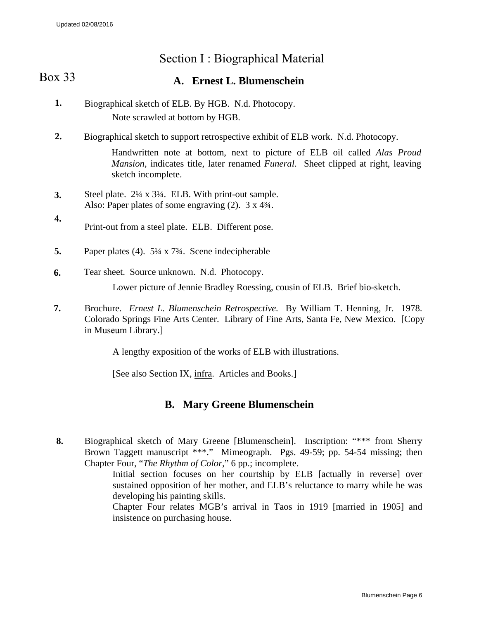# Section I : Biographical Material

#### <span id="page-5-0"></span>**A. Ernest L. Blumenschein**  Box 33

- **1.** Biographical sketch of ELB. By HGB. N.d. Photocopy. Note scrawled at bottom by HGB.
- **2.** Biographical sketch to support retrospective exhibit of ELB work. N.d. Photocopy.

Handwritten note at bottom, next to picture of ELB oil called *Alas Proud Mansion,* indicates title, later renamed *Funeral*. Sheet clipped at right, leaving sketch incomplete.

- **3.** Steel plate. 2¼ x 3¼. ELB. With print-out sample. Also: Paper plates of some engraving (2). 3 x 4¾.
- **4.** Print-out from a steel plate. ELB. Different pose.
- **5.** Paper plates (4). 5¼ x 7¾. Scene indecipherable
- **6.** Tear sheet. Source unknown. N.d. Photocopy.

Lower picture of Jennie Bradley Roessing, cousin of ELB. Brief bio-sketch.

**7.** Brochure. *Ernest L. Blumenschein Retrospective.* By William T. Henning, Jr. 1978. Colorado Springs Fine Arts Center. Library of Fine Arts, Santa Fe, New Mexico. [Copy in Museum Library.]

A lengthy exposition of the works of ELB with illustrations.

[See also Section IX, infra. Articles and Books.]

## **B. Mary Greene Blumenschein**

**8.** Biographical sketch of Mary Greene [Blumenschein]. Inscription: "\*\*\* from Sherry Brown Taggett manuscript \*\*\*." Mimeograph. Pgs. 49-59; pp. 54-54 missing; then Chapter Four, "*The Rhythm of Color,*" 6 pp.; incomplete.

Initial section focuses on her courtship by ELB [actually in reverse] over sustained opposition of her mother, and ELB's reluctance to marry while he was developing his painting skills.

Chapter Four relates MGB's arrival in Taos in 1919 [married in 1905] and insistence on purchasing house.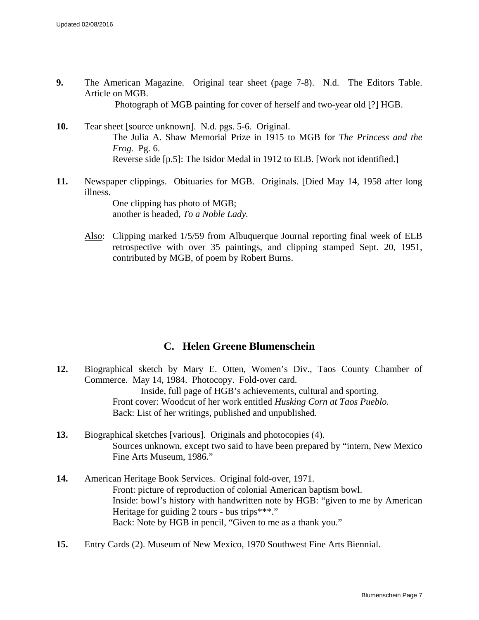- <span id="page-6-0"></span>**9.** The American Magazine. Original tear sheet (page 7-8). N.d. The Editors Table. Article on MGB. Photograph of MGB painting for cover of herself and two-year old [?] HGB.
- **10.** Tear sheet [source unknown]. N.d. pgs. 5-6. Original. The Julia A. Shaw Memorial Prize in 1915 to MGB for *The Princess and the Frog.* Pg. 6. Reverse side [p.5]: The Isidor Medal in 1912 to ELB. [Work not identified.]
- **11.** Newspaper clippings. Obituaries for MGB. Originals. [Died May 14, 1958 after long illness.

One clipping has photo of MGB; another is headed, *To a Noble Lady.*

Also: Clipping marked 1/5/59 from Albuquerque Journal reporting final week of ELB retrospective with over 35 paintings, and clipping stamped Sept. 20, 1951, contributed by MGB, of poem by Robert Burns.

## **C. Helen Greene Blumenschein**

- **12.** Biographical sketch by Mary E. Otten, Women's Div., Taos County Chamber of Commerce. May 14, 1984. Photocopy. Fold-over card. Inside, full page of HGB's achievements, cultural and sporting. Front cover: Woodcut of her work entitled *Husking Corn at Taos Pueblo.* Back: List of her writings, published and unpublished.
- **13.** Biographical sketches [various]. Originals and photocopies (4). Sources unknown, except two said to have been prepared by "intern, New Mexico Fine Arts Museum, 1986."
- **14.** American Heritage Book Services. Original fold-over, 1971. Front: picture of reproduction of colonial American baptism bowl. Inside: bowl's history with handwritten note by HGB: "given to me by American Heritage for guiding 2 tours - bus trips\*\*\*." Back: Note by HGB in pencil, "Given to me as a thank you."
- **15.** Entry Cards (2). Museum of New Mexico, 1970 Southwest Fine Arts Biennial.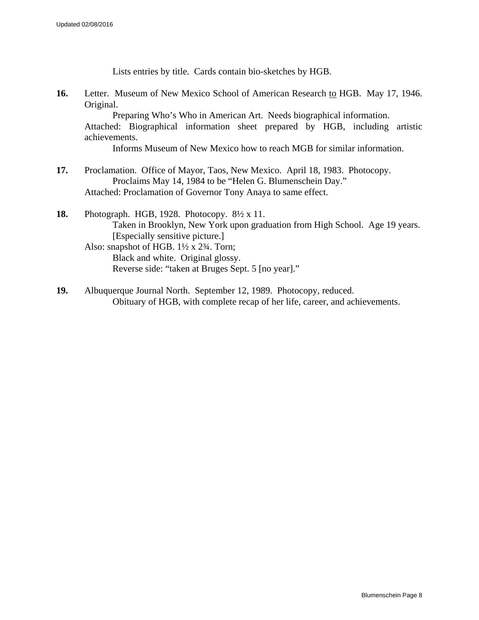Lists entries by title. Cards contain bio-sketches by HGB.

**16.** Letter. Museum of New Mexico School of American Research to HGB. May 17, 1946. Original.

Preparing Who's Who in American Art. Needs biographical information. Attached: Biographical information sheet prepared by HGB, including artistic achievements.

Informs Museum of New Mexico how to reach MGB for similar information.

- **17.** Proclamation. Office of Mayor, Taos, New Mexico. April 18, 1983. Photocopy. Proclaims May 14, 1984 to be "Helen G. Blumenschein Day." Attached: Proclamation of Governor Tony Anaya to same effect.
- **18.** Photograph. HGB, 1928. Photocopy. 8½ x 11. Taken in Brooklyn, New York upon graduation from High School. Age 19 years. [Especially sensitive picture.] Also: snapshot of HGB.  $1\frac{1}{2} \times 2\frac{3}{4}$ . Torn; Black and white. Original glossy. Reverse side: "taken at Bruges Sept. 5 [no year]."
- **19.** Albuquerque Journal North. September 12, 1989. Photocopy, reduced. Obituary of HGB, with complete recap of her life, career, and achievements.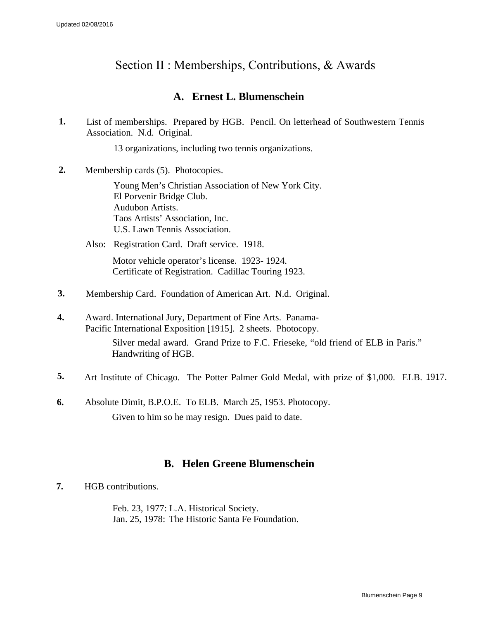# <span id="page-8-0"></span>Section II : Memberships, Contributions, & Awards

## **A. Ernest L. Blumenschein**

**1.** List of memberships. Prepared by HGB. Pencil. On letterhead of Southwestern Tennis Association. N.d. Original.

13 organizations, including two tennis organizations.

**2.** Membership cards (5). Photocopies.

Young Men's Christian Association of New York City. El Porvenir Bridge Club. Audubon Artists. Taos Artists' Association, Inc. U.S. Lawn Tennis Association.

Also: Registration Card. Draft service. 1918.

Motor vehicle operator's license. 1923- 1924. Certificate of Registration. Cadillac Touring 1923.

- **3.** Membership Card. Foundation of American Art. N.d. Original.
- **4.** Award. International Jury, Department of Fine Arts. Panama-Pacific International Exposition [1915]. 2 sheets. Photocopy. Silver medal award. Grand Prize to F.C. Frieseke, "old friend of ELB in Paris." Handwriting of HGB.
- **5.** Art Institute of Chicago. The Potter Palmer Gold Medal, with prize of \$1,000. ELB. 1917.
- **6.** Absolute Dimit, B.P.O.E. To ELB. March 25, 1953. Photocopy. Given to him so he may resign. Dues paid to date.

## **B. Helen Greene Blumenschein**

**7.** HGB contributions.

Feb. 23, 1977: L.A. Historical Society. Jan. 25, 1978: The Historic Santa Fe Foundation.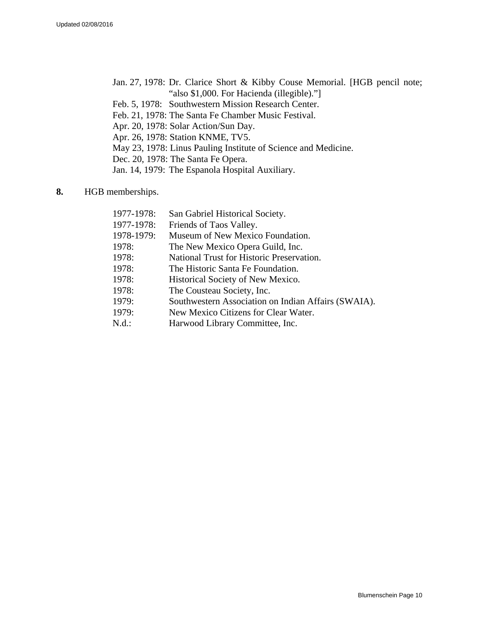- Jan. 27, 1978: Dr. Clarice Short & Kibby Couse Memorial. [HGB pencil note; "also \$1,000. For Hacienda (illegible)."]
- Feb. 5, 1978: Southwestern Mission Research Center.
- Feb. 21, 1978: The Santa Fe Chamber Music Festival.
- Apr. 20, 1978: Solar Action/Sun Day.
- Apr. 26, 1978: Station KNME, TV5.
- May 23, 1978: Linus Pauling Institute of Science and Medicine.
- Dec. 20, 1978: The Santa Fe Opera.
- Jan. 14, 1979: The Espanola Hospital Auxiliary.
- **8.** HGB memberships.

| 1977-1978: | San Gabriel Historical Society.                     |
|------------|-----------------------------------------------------|
| 1977-1978: | Friends of Taos Valley.                             |
| 1978-1979: | Museum of New Mexico Foundation.                    |
| 1978:      | The New Mexico Opera Guild, Inc.                    |
| 1978:      | National Trust for Historic Preservation.           |
| 1978:      | The Historic Santa Fe Foundation.                   |
| 1978:      | Historical Society of New Mexico.                   |
| 1978:      | The Cousteau Society, Inc.                          |
| 1979:      | Southwestern Association on Indian Affairs (SWAIA). |
| 1979:      | New Mexico Citizens for Clear Water.                |
| N.d.:      | Harwood Library Committee, Inc.                     |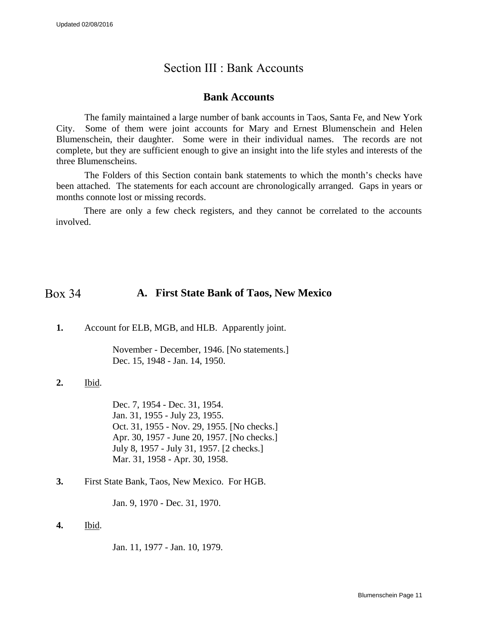## Section III : Bank Accounts

### **Bank Accounts**

<span id="page-10-0"></span>The family maintained a large number of bank accounts in Taos, Santa Fe, and New York City. Some of them were joint accounts for Mary and Ernest Blumenschein and Helen Blumenschein, their daughter. Some were in their individual names. The records are not complete, but they are sufficient enough to give an insight into the life styles and interests of the three Blumenscheins.

The Folders of this Section contain bank statements to which the month's checks have been attached. The statements for each account are chronologically arranged. Gaps in years or months connote lost or missing records.

There are only a few check registers, and they cannot be correlated to the accounts involved.

#### **A. First State Bank of Taos, New Mexico** Box 34

**1.** Account for ELB, MGB, and HLB. Apparently joint.

November - December, 1946. [No statements.] Dec. 15, 1948 - Jan. 14, 1950.

**2.** Ibid.

Dec. 7, 1954 - Dec. 31, 1954. Jan. 31, 1955 - July 23, 1955. Oct. 31, 1955 - Nov. 29, 1955. [No checks.] Apr. 30, 1957 - June 20, 1957. [No checks.] July 8, 1957 - July 31, 1957. [2 checks.] Mar. 31, 1958 - Apr. 30, 1958.

**3.** First State Bank, Taos, New Mexico. For HGB.

Jan. 9, 1970 - Dec. 31, 1970.

**4.** Ibid.

Jan. 11, 1977 - Jan. 10, 1979.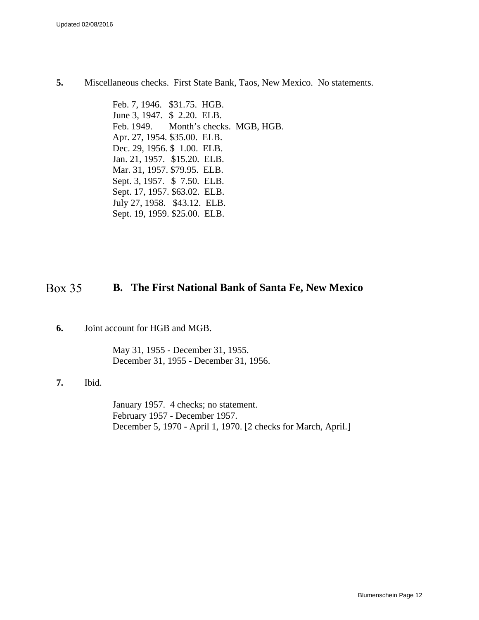**5.** Miscellaneous checks. First State Bank, Taos, New Mexico. No statements.

Feb. 7, 1946. \$31.75. HGB. June 3, 1947. \$ 2.20. ELB. Feb. 1949. Month's checks. MGB, HGB. Apr. 27, 1954. \$35.00. ELB. Dec. 29, 1956. \$ 1.00. ELB. Jan. 21, 1957. \$15.20. ELB. Mar. 31, 1957. \$79.95. ELB. Sept. 3, 1957. \$ 7.50. ELB. Sept. 17, 1957. \$63.02. ELB. July 27, 1958. \$43.12. ELB. Sept. 19, 1959. \$25.00. ELB.

#### **B. The First National Bank of Santa Fe, New Mexico** Box 35

**6.** Joint account for HGB and MGB.

May 31, 1955 - December 31, 1955. December 31, 1955 - December 31, 1956.

**7.** Ibid.

January 1957. 4 checks; no statement. February 1957 - December 1957. December 5, 1970 - April 1, 1970. [2 checks for March, April.]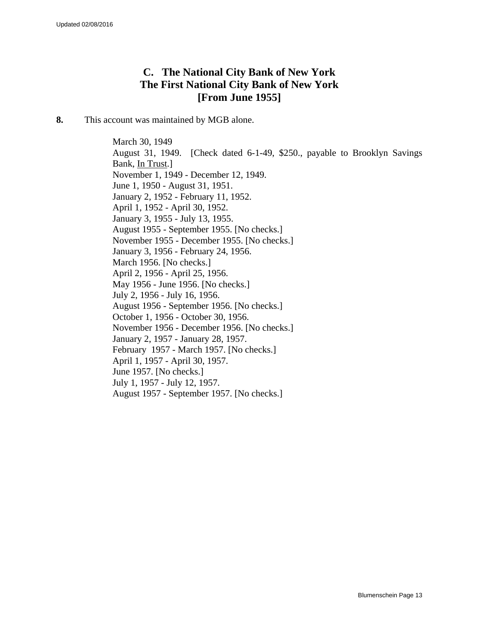## **C. The National City Bank of New York The First National City Bank of New York [From June 1955]**

**8.** This account was maintained by MGB alone.

March 30, 1949 August 31, 1949. [Check dated 6-1-49, \$250., payable to Brooklyn Savings Bank, In Trust.] November 1, 1949 - December 12, 1949. June 1, 1950 - August 31, 1951. January 2, 1952 - February 11, 1952. April 1, 1952 - April 30, 1952. January 3, 1955 - July 13, 1955. August 1955 - September 1955. [No checks.] November 1955 - December 1955. [No checks.] January 3, 1956 - February 24, 1956. March 1956. [No checks.] April 2, 1956 - April 25, 1956. May 1956 - June 1956. [No checks.] July 2, 1956 - July 16, 1956. August 1956 - September 1956. [No checks.] October 1, 1956 - October 30, 1956. November 1956 - December 1956. [No checks.] January 2, 1957 - January 28, 1957. February 1957 - March 1957. [No checks.] April 1, 1957 - April 30, 1957. June 1957. [No checks.] July 1, 1957 - July 12, 1957. August 1957 - September 1957. [No checks.]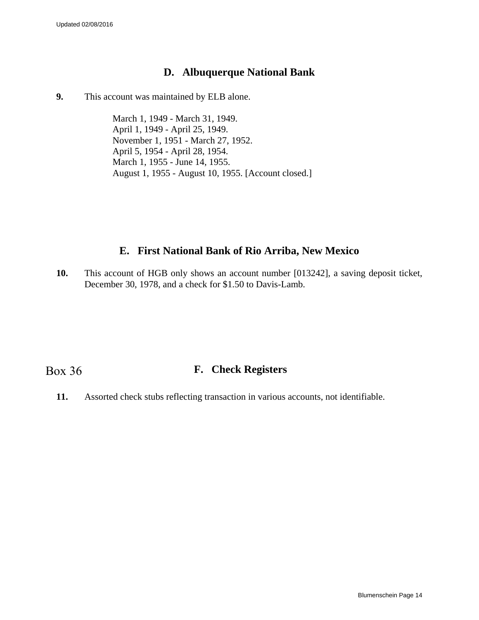## **D. Albuquerque National Bank**

**9.** This account was maintained by ELB alone.

March 1, 1949 - March 31, 1949. April 1, 1949 - April 25, 1949. November 1, 1951 - March 27, 1952. April 5, 1954 - April 28, 1954. March 1, 1955 - June 14, 1955. August 1, 1955 - August 10, 1955. [Account closed.]

## **E. First National Bank of Rio Arriba, New Mexico**

**10.** This account of HGB only shows an account number [013242], a saving deposit ticket, December 30, 1978, and a check for \$1.50 to Davis-Lamb.

## Box 36

## **F. Check Registers**

**11.** Assorted check stubs reflecting transaction in various accounts, not identifiable.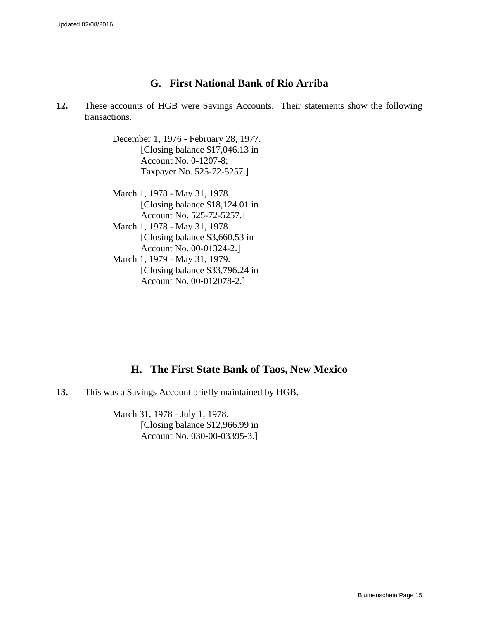## **G. First National Bank of Rio Arriba**

**12.** These accounts of HGB were Savings Accounts. Their statements show the following transactions.

> December 1, 1976 - February 28, 1977. [Closing balance \$17,046.13 in Account No. 0-1207-8; Taxpayer No. 525-72-5257.]

> March 1, 1978 - May 31, 1978. [Closing balance \$18,124.01 in Account No. 525-72-5257.] March 1, 1978 - May 31, 1978. [Closing balance \$3,660.53 in Account No. 00-01324-2.] March 1, 1979 - May 31, 1979. [Closing balance \$33,796.24 in

> > Account No. 00-012078-2.]

## **H. The First State Bank of Taos, New Mexico**

**13.** This was a Savings Account briefly maintained by HGB.

March 31, 1978 - July 1, 1978. [Closing balance \$12,966.99 in Account No. 030-00-03395-3.]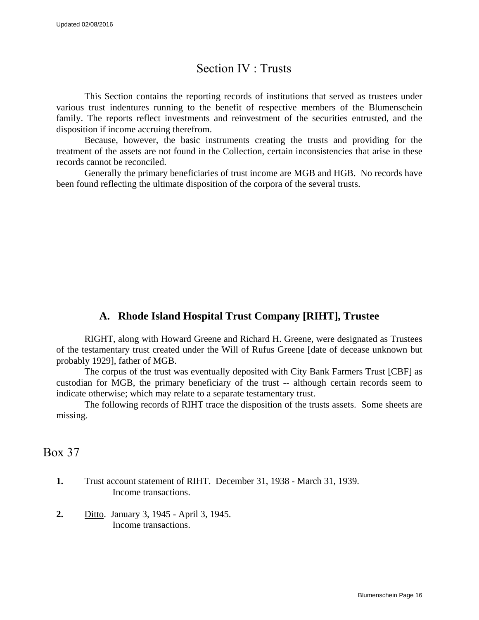## Section IV : Trusts

<span id="page-15-0"></span>This Section contains the reporting records of institutions that served as trustees under various trust indentures running to the benefit of respective members of the Blumenschein family. The reports reflect investments and reinvestment of the securities entrusted, and the disposition if income accruing therefrom.

Because, however, the basic instruments creating the trusts and providing for the treatment of the assets are not found in the Collection, certain inconsistencies that arise in these records cannot be reconciled.

Generally the primary beneficiaries of trust income are MGB and HGB. No records have been found reflecting the ultimate disposition of the corpora of the several trusts.

## **A. Rhode Island Hospital Trust Company [RIHT], Trustee**

RIGHT, along with Howard Greene and Richard H. Greene, were designated as Trustees of the testamentary trust created under the Will of Rufus Greene [date of decease unknown but probably 1929], father of MGB.

The corpus of the trust was eventually deposited with City Bank Farmers Trust [CBF] as custodian for MGB, the primary beneficiary of the trust -- although certain records seem to indicate otherwise; which may relate to a separate testamentary trust.

The following records of RIHT trace the disposition of the trusts assets. Some sheets are missing.

Box 37

- **1.** Trust account statement of RIHT. December 31, 1938 March 31, 1939. Income transactions.
- **2.** Ditto. January 3, 1945 April 3, 1945. Income transactions.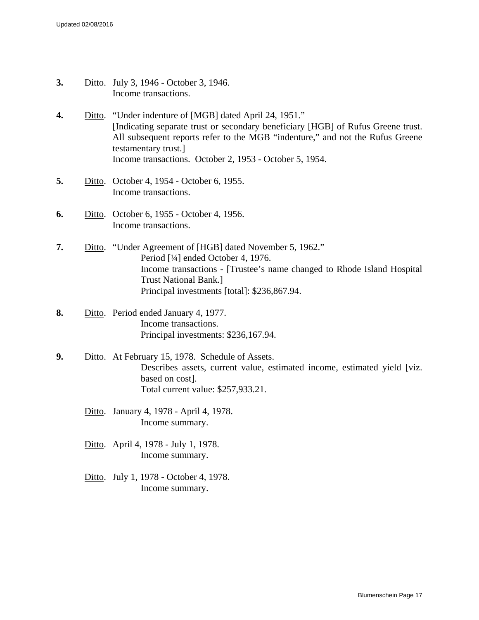- **3.** Ditto. July 3, 1946 October 3, 1946. Income transactions.
- **4.** Ditto. "Under indenture of [MGB] dated April 24, 1951." [Indicating separate trust or secondary beneficiary [HGB] of Rufus Greene trust. All subsequent reports refer to the MGB "indenture," and not the Rufus Greene testamentary trust.] Income transactions. October 2, 1953 - October 5, 1954.
- **5.** Ditto. October 4, 1954 October 6, 1955. Income transactions.
- **6.** Ditto. October 6, 1955 October 4, 1956. Income transactions.
- **7.** Ditto. "Under Agreement of [HGB] dated November 5, 1962." Period [¼] ended October 4, 1976. Income transactions - [Trustee's name changed to Rhode Island Hospital Trust National Bank.] Principal investments [total]: \$236,867.94.
- **8.** Ditto. Period ended January 4, 1977. Income transactions. Principal investments: \$236,167.94.
- **9.** Ditto. At February 15, 1978. Schedule of Assets. Describes assets, current value, estimated income, estimated yield [viz. based on cost]. Total current value: \$257,933.21.
	- Ditto. January 4, 1978 April 4, 1978. Income summary.
	- Ditto. April 4, 1978 July 1, 1978. Income summary.
	- Ditto. July 1, 1978 October 4, 1978. Income summary.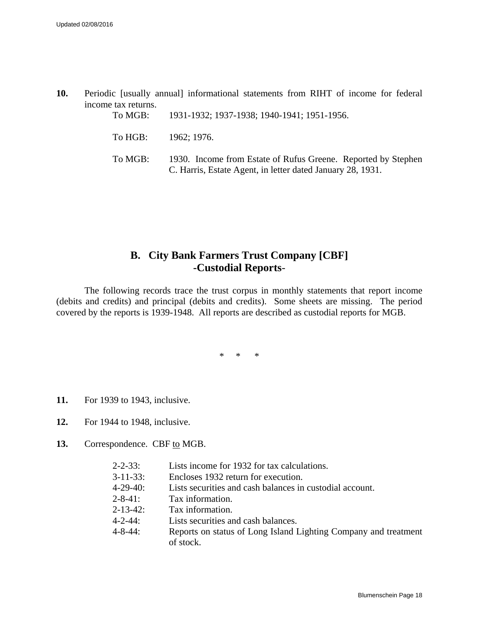**10.** Periodic [usually annual] informational statements from RIHT of income for federal income tax returns.

| To MGB: | 1931-1932; 1937-1938; 1940-1941; 1951-1956.                                                                                 |
|---------|-----------------------------------------------------------------------------------------------------------------------------|
|         | To HGB: $1962$ ; 1976.                                                                                                      |
| To MGB: | 1930. Income from Estate of Rufus Greene. Reported by Stephen<br>C. Harris, Estate Agent, in letter dated January 28, 1931. |

## **B. City Bank Farmers Trust Company [CBF] -Custodial Reports**-

The following records trace the trust corpus in monthly statements that report income (debits and credits) and principal (debits and credits). Some sheets are missing. The period covered by the reports is 1939-1948. All reports are described as custodial reports for MGB.

\* \* \*

- **11.** For 1939 to 1943, inclusive.
- **12.** For 1944 to 1948, inclusive.
- **13.** Correspondence. CBF to MGB.

| $2 - 2 - 33$ :  | Lists income for 1932 for tax calculations.                                  |
|-----------------|------------------------------------------------------------------------------|
| $3 - 11 - 33$ : | Encloses 1932 return for execution.                                          |
| $4 - 29 - 40$ : | Lists securities and cash balances in custodial account.                     |
| $2 - 8 - 41$ :  | Tax information.                                                             |
| $2 - 13 - 42$ : | Tax information.                                                             |
| $4 - 2 - 44$ :  | Lists securities and cash balances.                                          |
| $4 - 8 - 44$ :  | Reports on status of Long Island Lighting Company and treatment<br>of stock. |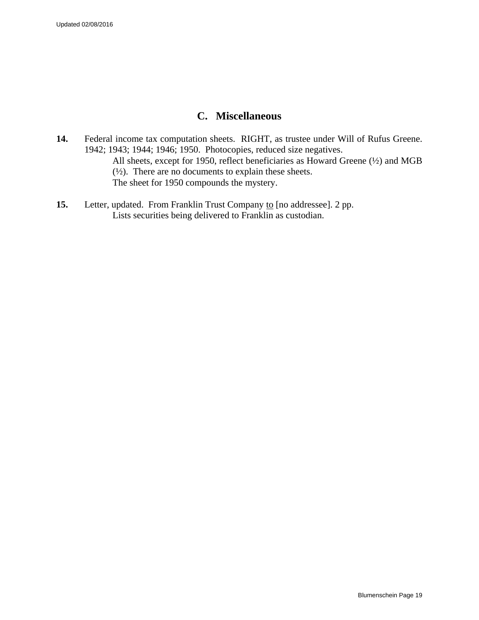## **C. Miscellaneous**

- **14.** Federal income tax computation sheets. RIGHT, as trustee under Will of Rufus Greene. 1942; 1943; 1944; 1946; 1950. Photocopies, reduced size negatives. All sheets, except for 1950, reflect beneficiaries as Howard Greene (½) and MGB (½). There are no documents to explain these sheets. The sheet for 1950 compounds the mystery.
- **15.** Letter, updated. From Franklin Trust Company to [no addressee]. 2 pp. Lists securities being delivered to Franklin as custodian.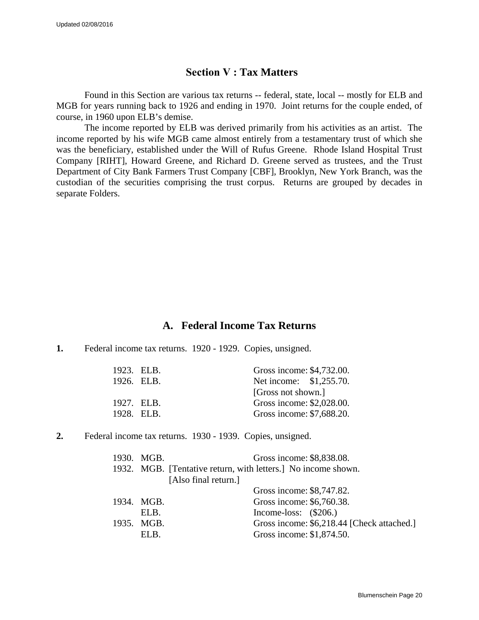### **Section V : Tax Matters**

<span id="page-19-0"></span>Found in this Section are various tax returns -- federal, state, local -- mostly for ELB and MGB for years running back to 1926 and ending in 1970. Joint returns for the couple ended, of course, in 1960 upon ELB's demise.

The income reported by ELB was derived primarily from his activities as an artist. The income reported by his wife MGB came almost entirely from a testamentary trust of which she was the beneficiary, established under the Will of Rufus Greene. Rhode Island Hospital Trust Company [RIHT], Howard Greene, and Richard D. Greene served as trustees, and the Trust Department of City Bank Farmers Trust Company [CBF], Brooklyn, New York Branch, was the custodian of the securities comprising the trust corpus. Returns are grouped by decades in separate Folders.

### **A. Federal Income Tax Returns**

#### **1.** Federal income tax returns. 1920 - 1929. Copies, unsigned.

| 1923. ELB. | Gross income: \$4,732.00. |  |
|------------|---------------------------|--|
| 1926. ELB. | Net income: \$1,255.70.   |  |
|            | [Gross not shown.]        |  |
| 1927. FLB. | Gross income: \$2,028.00. |  |
| 1928. ELB. | Gross income: \$7,688.20. |  |

**2.** Federal income tax returns. 1930 - 1939. Copies, unsigned.

| 1930. MGB. | Gross income: \$8,838.08.                                     |  |
|------------|---------------------------------------------------------------|--|
|            | 1932. MGB. [Tentative return, with letters.] No income shown. |  |
|            | [Also final return.]                                          |  |
|            | Gross income: \$8,747.82.                                     |  |
| 1934. MGB. | Gross income: \$6,760.38.                                     |  |
| ELB.       | Income-loss: $(\$206.)$                                       |  |
| 1935. MGB. | Gross income: \$6,218.44 [Check attached.]                    |  |
| EL B.      | Gross income: \$1,874.50.                                     |  |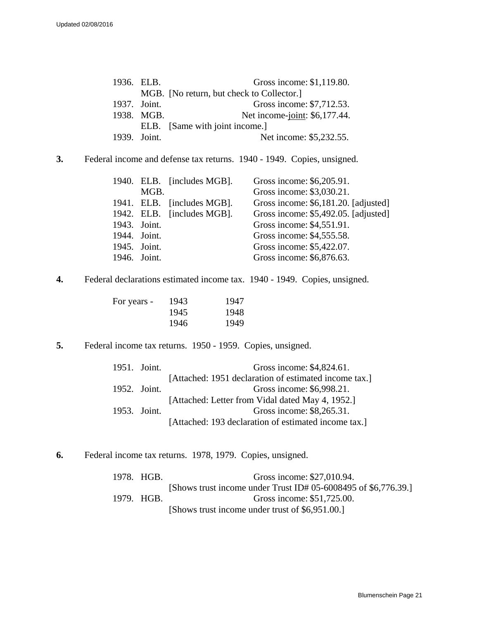| 1936. ELB.   |            | Gross income: \$1,119.80.                 |
|--------------|------------|-------------------------------------------|
|              |            | MGB. [No return, but check to Collector.] |
| 1937. Joint. |            | Gross income: \$7,712.53.                 |
|              | 1938. MGB. | Net income-joint: \$6,177.44.             |
|              |            | ELB. [Same with joint income.]            |
| 1939. Joint. |            | Net income: \$5,232.55.                   |

**3.** Federal income and defense tax returns. 1940 - 1949. Copies, unsigned.

|              |              | 1940. ELB. [includes MGB]. | Gross income: \$6,205.91.            |
|--------------|--------------|----------------------------|--------------------------------------|
|              | MGB.         |                            | Gross income: \$3,030.21.            |
|              |              | 1941. ELB. [includes MGB]. | Gross income: \$6,181.20. [adjusted] |
|              |              | 1942. ELB. [includes MGB]. | Gross income: \$5,492.05. [adjusted] |
|              | 1943. Joint. |                            | Gross income: \$4,551.91.            |
|              | 1944. Joint. |                            | Gross income: \$4,555.58.            |
| 1945. Joint. |              |                            | Gross income: \$5,422.07.            |
| 1946. Joint. |              |                            | Gross income: \$6,876.63.            |
|              |              |                            |                                      |

**4.** Federal declarations estimated income tax. 1940 - 1949. Copies, unsigned.

| For years - | 1943 | 1947 |
|-------------|------|------|
|             | 1945 | 1948 |
|             | 1946 | 1949 |

**5.** Federal income tax returns. 1950 - 1959. Copies, unsigned.

| 1951. Joint. | Gross income: \$4,824.61.                             |
|--------------|-------------------------------------------------------|
|              | [Attached: 1951 declaration of estimated income tax.] |
| 1952. Joint. | Gross income: \$6,998.21.                             |
|              | [Attached: Letter from Vidal dated May 4, 1952.]      |
| 1953. Joint. | Gross income: \$8,265.31.                             |
|              | [Attached: 193 declaration of estimated income tax.]  |

**6.** Federal income tax returns. 1978, 1979. Copies, unsigned.

| 1978. HGB. | Gross income: \$27,010.94.                                     |
|------------|----------------------------------------------------------------|
|            | [Shows trust income under Trust ID# 05-6008495 of \$6,776.39.] |
| 1979. HGB. | Gross income: \$51,725.00.                                     |
|            | [Shows trust income under trust of \$6,951.00.]                |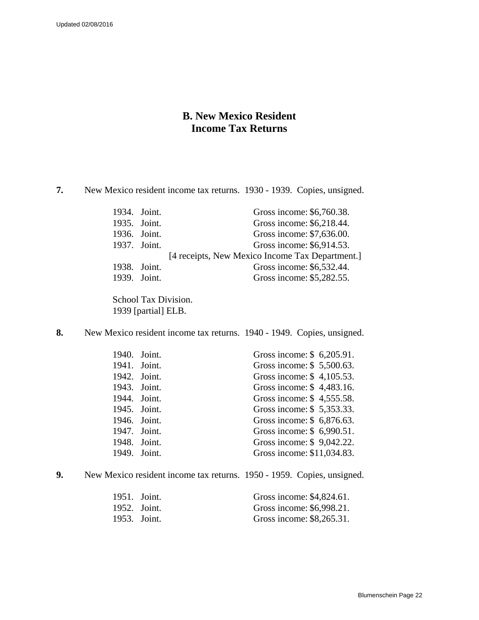## **B. New Mexico Resident Income Tax Returns**

**7.** New Mexico resident income tax returns. 1930 - 1939. Copies, unsigned.

| 1934. Joint. | Gross income: \$6,760.38.                       |
|--------------|-------------------------------------------------|
| 1935. Joint. | Gross income: \$6,218.44.                       |
| 1936. Joint. | Gross income: \$7,636.00.                       |
| 1937. Joint. | Gross income: \$6,914.53.                       |
|              | [4 receipts, New Mexico Income Tax Department.] |
| 1938. Joint. | Gross income: \$6,532.44.                       |
| 1939. Joint. | Gross income: \$5,282.55.                       |
|              |                                                 |

School Tax Division. 1939 [partial] ELB.

**8.** New Mexico resident income tax returns. 1940 - 1949. Copies, unsigned.

|              | 1940. Joint. | Gross income: \$6,205.91.  |  |
|--------------|--------------|----------------------------|--|
|              | 1941. Joint. | Gross income: \$5,500.63.  |  |
|              | 1942. Joint. | Gross income: \$4,105.53.  |  |
|              | 1943. Joint. | Gross income: \$4,483.16.  |  |
| 1944. Joint. |              | Gross income: \$4,555.58.  |  |
|              | 1945. Joint. | Gross income: \$5,353.33.  |  |
|              | 1946. Joint. | Gross income: \$6,876.63.  |  |
|              | 1947. Joint. | Gross income: \$6,990.51.  |  |
| 1948. Joint. |              | Gross income: \$9,042.22.  |  |
|              | 1949. Joint. | Gross income: \$11,034.83. |  |
|              |              |                            |  |

**9.** New Mexico resident income tax returns. 1950 - 1959. Copies, unsigned.

| 1951. Joint. | Gross income: \$4,824.61. |
|--------------|---------------------------|
| 1952. Joint. | Gross income: \$6,998.21. |
| 1953. Joint. | Gross income: \$8,265.31. |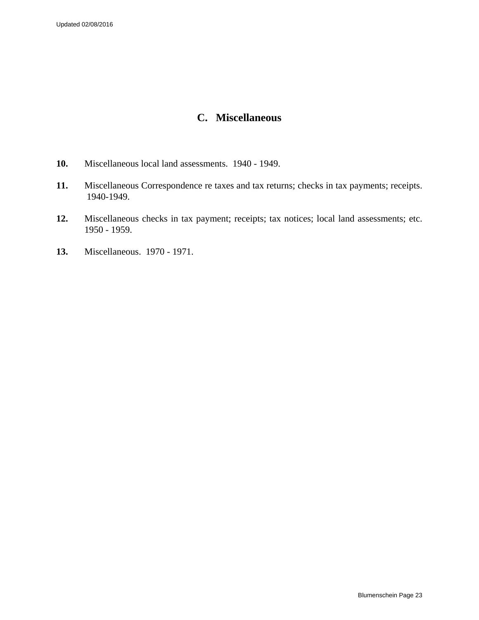## **C. Miscellaneous**

- **10.** Miscellaneous local land assessments. 1940 1949.
- **11.** Miscellaneous Correspondence re taxes and tax returns; checks in tax payments; receipts. 1940-1949.
- **12.** Miscellaneous checks in tax payment; receipts; tax notices; local land assessments; etc. 1950 - 1959.
- **13.** Miscellaneous. 1970 1971.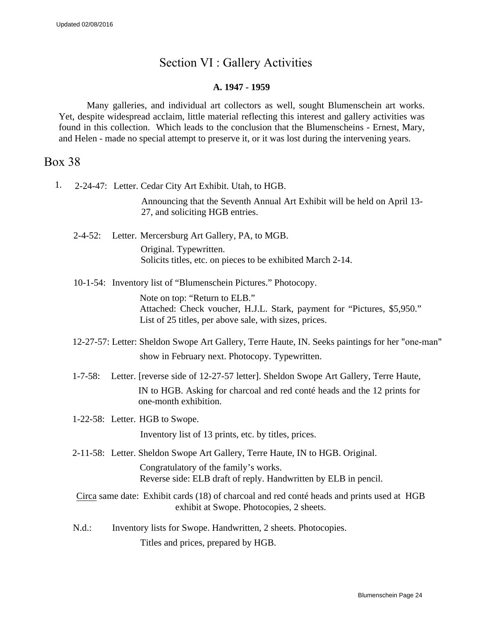# Section VI : Gallery Activities

### **A. 1947 - 1959**

<span id="page-23-0"></span>Many galleries, and individual art collectors as well, sought Blumenschein art works. Yet, despite widespread acclaim, little material reflecting this interest and gallery activities was found in this collection. Which leads to the conclusion that the Blumenscheins - Ernest, Mary, and Helen - made no special attempt to preserve it, or it was lost during the intervening years.

## Box 38

1. 2-24-47: Letter. Cedar City Art Exhibit. Utah, to HGB.

Announcing that the Seventh Annual Art Exhibit will be held on April 13- 27, and soliciting HGB entries.

- 2-4-52: Letter. Mercersburg Art Gallery, PA, to MGB. Original. Typewritten. Solicits titles, etc. on pieces to be exhibited March 2-14.
- 10-1-54: Inventory list of "Blumenschein Pictures." Photocopy.

Note on top: "Return to ELB." Attached: Check voucher, H.J.L. Stark, payment for "Pictures, \$5,950." List of 25 titles, per above sale, with sizes, prices.

- 12-27-57: Letter: Sheldon Swope Art Gallery, Terre Haute, IN. Seeks paintings for her "one-man" show in February next. Photocopy. Typewritten.
- 1-7-58: Letter. [reverse side of 12-27-57 letter]. Sheldon Swope Art Gallery, Terre Haute, IN to HGB. Asking for charcoal and red conté heads and the 12 prints for one-month exhibition.
- 1-22-58: Letter. HGB to Swope.

Inventory list of 13 prints, etc. by titles, prices.

2-11-58: Letter. Sheldon Swope Art Gallery, Terre Haute, IN to HGB. Original.

Congratulatory of the family's works. Reverse side: ELB draft of reply. Handwritten by ELB in pencil.

Circa same date: Exhibit cards (18) of charcoal and red conté heads and prints used at HGB exhibit at Swope. Photocopies, 2 sheets.

N.d.: Inventory lists for Swope. Handwritten, 2 sheets. Photocopies. Titles and prices, prepared by HGB.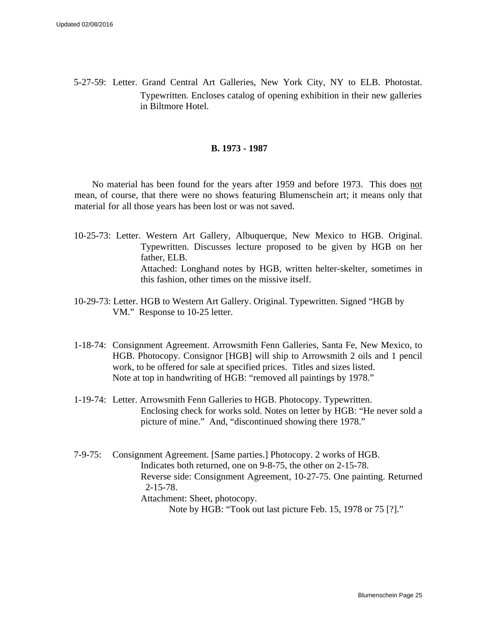5-27-59: Letter. Grand Central Art Galleries, New York City, NY to ELB. Photostat. Typewritten. Encloses catalog of opening exhibition in their new galleries in Biltmore Hotel.

#### **B. 1973 - 1987**

No material has been found for the years after 1959 and before 1973. This does not mean, of course, that there were no shows featuring Blumenschein art; it means only that material for all those years has been lost or was not saved.

- 10-25-73: Letter. Western Art Gallery, Albuquerque, New Mexico to HGB. Original. Typewritten. Discusses lecture proposed to be given by HGB on her father, ELB. Attached: Longhand notes by HGB, written helter-skelter, sometimes in this fashion, other times on the missive itself.
- 10-29-73: Letter. HGB to Western Art Gallery. Original. Typewritten. Signed "HGB by VM." Response to 10-25 letter.
- 1-18-74: Consignment Agreement. Arrowsmith Fenn Galleries, Santa Fe, New Mexico, to HGB. Photocopy. Consignor [HGB] will ship to Arrowsmith 2 oils and 1 pencil work, to be offered for sale at specified prices. Titles and sizes listed. Note at top in handwriting of HGB: "removed all paintings by 1978."
- 1-19-74: Letter. Arrowsmith Fenn Galleries to HGB. Photocopy. Typewritten. Enclosing check for works sold. Notes on letter by HGB: "He never sold a picture of mine." And, "discontinued showing there 1978."
- 7-9-75: Consignment Agreement. [Same parties.] Photocopy. 2 works of HGB. Indicates both returned, one on 9-8-75, the other on 2-15-78. Reverse side: Consignment Agreement, 10-27-75. One painting. Returned 2-15-78. Attachment: Sheet, photocopy. Note by HGB: "Took out last picture Feb. 15, 1978 or 75 [?]."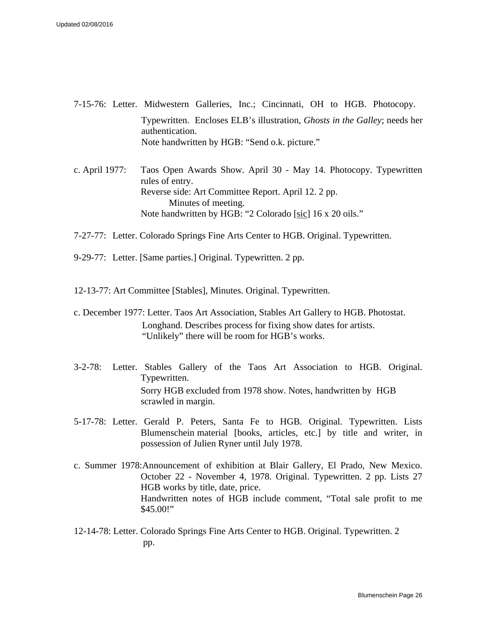- 7-15-76: Letter. Midwestern Galleries, Inc.; Cincinnati, OH to HGB. Photocopy. Typewritten. Encloses ELB's illustration, *Ghosts in the Galley*; needs her authentication. Note handwritten by HGB: "Send o.k. picture."
- c. April 1977: Taos Open Awards Show. April 30 May 14. Photocopy. Typewritten rules of entry. Reverse side: Art Committee Report. April 12. 2 pp. Minutes of meeting. Note handwritten by HGB: "2 Colorado [sic] 16 x 20 oils."
- 7-27-77: Letter. Colorado Springs Fine Arts Center to HGB. Original. Typewritten.
- 9-29-77: Letter. [Same parties.] Original. Typewritten. 2 pp.
- 12-13-77: Art Committee [Stables], Minutes. Original. Typewritten.
- c. December 1977: Letter. Taos Art Association, Stables Art Gallery to HGB. Photostat. Longhand. Describes process for fixing show dates for artists. "Unlikely" there will be room for HGB's works.
- 3-2-78: Letter. Stables Gallery of the Taos Art Association to HGB. Original. Typewritten. Sorry HGB excluded from 1978 show. Notes, handwritten by HGB scrawled in margin.
- 5-17-78: Letter. Gerald P. Peters, Santa Fe to HGB. Original. Typewritten. Lists Blumenschein material [books, articles, etc.] by title and writer, in possession of Julien Ryner until July 1978.
- c. Summer 1978:Announcement of exhibition at Blair Gallery, El Prado, New Mexico. October 22 - November 4, 1978. Original. Typewritten. 2 pp. Lists 27 HGB works by title, date, price. Handwritten notes of HGB include comment, "Total sale profit to me \$45.00!"
- 12-14-78: Letter. Colorado Springs Fine Arts Center to HGB. Original. Typewritten. 2 pp.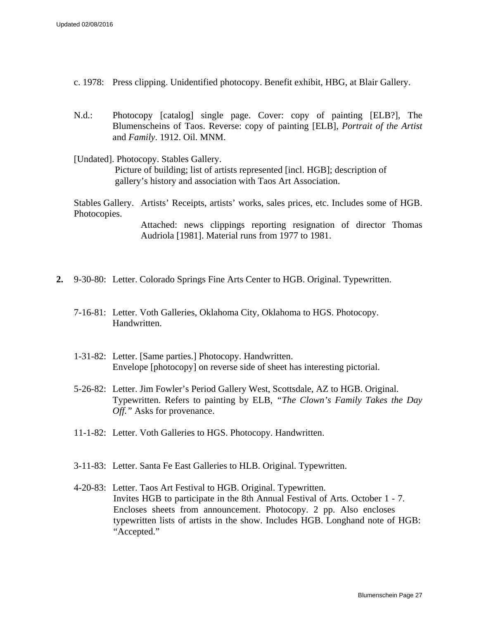- c. 1978: Press clipping. Unidentified photocopy. Benefit exhibit, HBG, at Blair Gallery.
- N.d.: Photocopy [catalog] single page. Cover: copy of painting [ELB?], The Blumenscheins of Taos. Reverse: copy of painting [ELB], *Portrait of the Artist*  and *Family*. 1912. Oil. MNM.
- [Undated]. Photocopy. Stables Gallery. Picture of building; list of artists represented [incl. HGB]; description of gallery's history and association with Taos Art Association.

Stables Gallery. Artists' Receipts, artists' works, sales prices, etc. Includes some of HGB. Photocopies.

> Attached: news clippings reporting resignation of director Thomas Audriola [1981]. Material runs from 1977 to 1981.

- **2.** 9-30-80: Letter. Colorado Springs Fine Arts Center to HGB. Original. Typewritten.
	- 7-16-81: Letter. Voth Galleries, Oklahoma City, Oklahoma to HGS. Photocopy. Handwritten.
	- 1-31-82: Letter. [Same parties.] Photocopy. Handwritten. Envelope [photocopy] on reverse side of sheet has interesting pictorial.
	- 5-26-82: Letter. Jim Fowler's Period Gallery West, Scottsdale, AZ to HGB. Original. Typewritten. Refers to painting by ELB, *"The Clown's Family Takes the Day Off."* Asks for provenance.
	- 11-1-82: Letter. Voth Galleries to HGS. Photocopy. Handwritten.
	- 3-11-83: Letter. Santa Fe East Galleries to HLB. Original. Typewritten.
	- 4-20-83: Letter. Taos Art Festival to HGB. Original. Typewritten. Invites HGB to participate in the 8th Annual Festival of Arts. October 1 - 7. Encloses sheets from announcement. Photocopy. 2 pp. Also encloses typewritten lists of artists in the show. Includes HGB. Longhand note of HGB: "Accepted."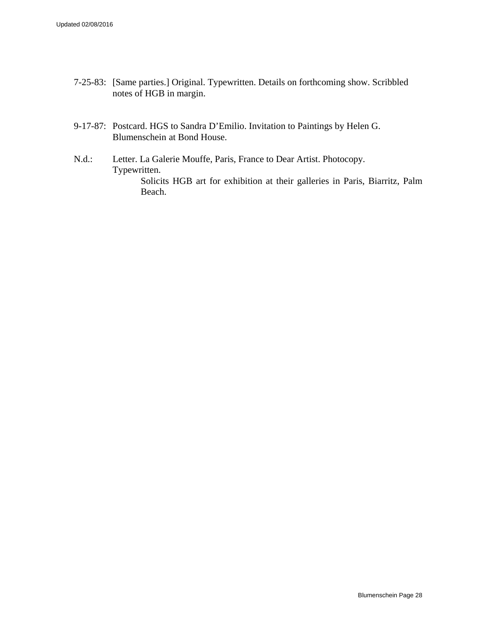- 7-25-83: [Same parties.] Original. Typewritten. Details on forthcoming show. Scribbled notes of HGB in margin.
- 9-17-87: Postcard. HGS to Sandra D'Emilio. Invitation to Paintings by Helen G. Blumenschein at Bond House.
- N.d.: Letter. La Galerie Mouffe, Paris, France to Dear Artist. Photocopy. Typewritten. Solicits HGB art for exhibition at their galleries in Paris, Biarritz, Palm Beach.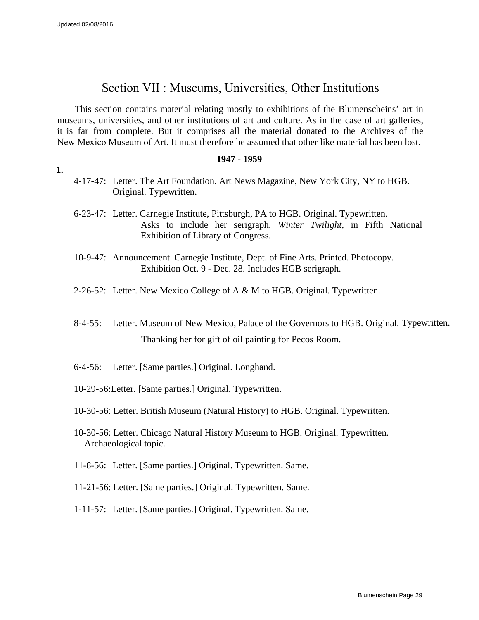**1.**

## Section VII : Museums, Universities, Other Institutions

<span id="page-28-0"></span>This section contains material relating mostly to exhibitions of the Blumenscheins' art in museums, universities, and other institutions of art and culture. As in the case of art galleries, it is far from complete. But it comprises all the material donated to the Archives of the New Mexico Museum of Art. It must therefore be assumed that other like material has been lost.

#### **1947 - 1959**

- 4-17-47: Letter. The Art Foundation. Art News Magazine, New York City, NY to HGB. Original. Typewritten.
- 6-23-47: Letter. Carnegie Institute, Pittsburgh, PA to HGB. Original. Typewritten. Asks to include her serigraph, *Winter Twilight,* in Fifth National Exhibition of Library of Congress.
- 10-9-47: Announcement. Carnegie Institute, Dept. of Fine Arts. Printed. Photocopy. Exhibition Oct. 9 - Dec. 28. Includes HGB serigraph.
- 2-26-52: Letter. New Mexico College of A & M to HGB. Original. Typewritten.
- 8-4-55: Letter. Museum of New Mexico, Palace of the Governors to HGB. Original. Typewritten. Thanking her for gift of oil painting for Pecos Room.
- 6-4-56: Letter. [Same parties.] Original. Longhand.
- 10-29-56:Letter. [Same parties.] Original. Typewritten.
- 10-30-56: Letter. British Museum (Natural History) to HGB. Original. Typewritten.
- 10-30-56: Letter. Chicago Natural History Museum to HGB. Original. Typewritten. Archaeological topic.
- 11-8-56: Letter. [Same parties.] Original. Typewritten. Same.
- 11-21-56: Letter. [Same parties.] Original. Typewritten. Same.
- 1-11-57: Letter. [Same parties.] Original. Typewritten. Same.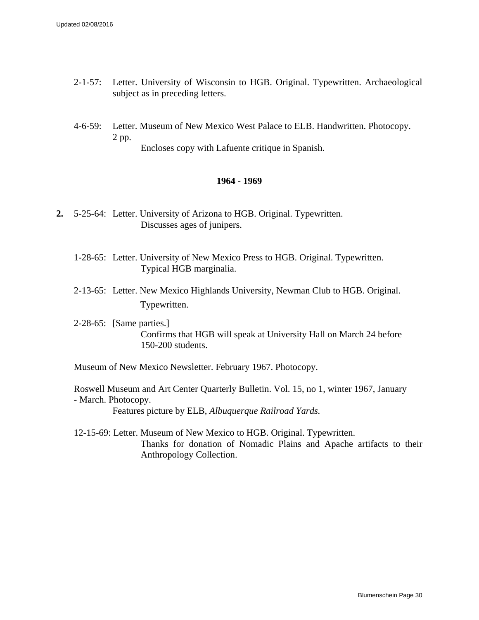- 2-1-57: Letter. University of Wisconsin to HGB. Original. Typewritten. Archaeological subject as in preceding letters.
- 4-6-59: Letter. Museum of New Mexico West Palace to ELB. Handwritten. Photocopy. 2 pp.

Encloses copy with Lafuente critique in Spanish.

### **1964 - 1969**

- **2.** 5-25-64: Letter. University of Arizona to HGB. Original. Typewritten. Discusses ages of junipers.
	- 1-28-65: Letter. University of New Mexico Press to HGB. Original. Typewritten. Typical HGB marginalia.
	- 2-13-65: Letter. New Mexico Highlands University, Newman Club to HGB. Original. Typewritten.
	- 2-28-65: [Same parties.] Confirms that HGB will speak at University Hall on March 24 before 150-200 students.

Museum of New Mexico Newsletter. February 1967. Photocopy.

Roswell Museum and Art Center Quarterly Bulletin. Vol. 15, no 1, winter 1967, January - March. Photocopy. Features picture by ELB, *Albuquerque Railroad Yards.*

12-15-69: Letter. Museum of New Mexico to HGB. Original. Typewritten. Thanks for donation of Nomadic Plains and Apache artifacts to their Anthropology Collection.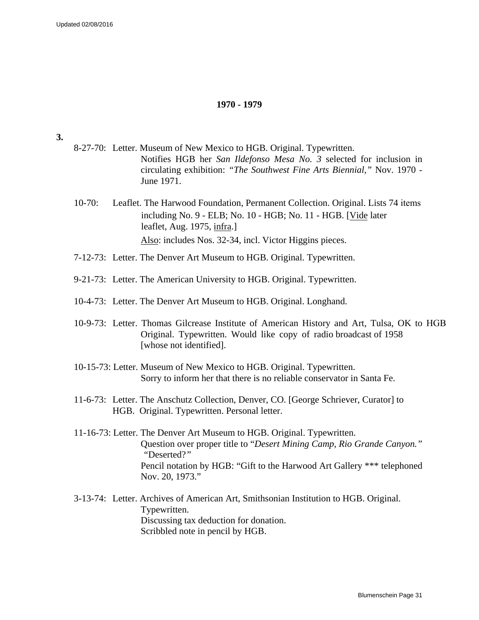#### **1970 - 1979**

#### **3.**

- 8-27-70: Letter. Museum of New Mexico to HGB. Original. Typewritten. Notifies HGB her *San Ildefonso Mesa No. 3* selected for inclusion in circulating exhibition: *"The Southwest Fine Arts Biennial,"* Nov. 1970 - June 1971.
- 10-70: Leaflet. The Harwood Foundation, Permanent Collection. Original. Lists 74 items including No. 9 - ELB; No. 10 - HGB; No. 11 - HGB. [Vide later leaflet, Aug. 1975, infra.] Also: includes Nos. 32-34, incl. Victor Higgins pieces.
- 7-12-73: Letter. The Denver Art Museum to HGB. Original. Typewritten.
- 9-21-73: Letter. The American University to HGB. Original. Typewritten.
- 10-4-73: Letter. The Denver Art Museum to HGB. Original. Longhand.
- 10-9-73: Letter. Thomas Gilcrease Institute of American History and Art, Tulsa, OK to HGB Original. Typewritten. Would like copy of radio broadcast of 1958 [whose not identified].
- 10-15-73: Letter. Museum of New Mexico to HGB. Original. Typewritten. Sorry to inform her that there is no reliable conservator in Santa Fe.
- 11-6-73: Letter. The Anschutz Collection, Denver, CO. [George Schriever, Curator] to HGB. Original. Typewritten. Personal letter.
- 11-16-73: Letter. The Denver Art Museum to HGB. Original. Typewritten. Question over proper title to "*Desert Mining Camp, Rio Grande Canyon." "*Deserted?*"* Pencil notation by HGB: "Gift to the Harwood Art Gallery \*\*\* telephoned Nov. 20, 1973."
- 3-13-74: Letter. Archives of American Art, Smithsonian Institution to HGB. Original. Typewritten. Discussing tax deduction for donation. Scribbled note in pencil by HGB.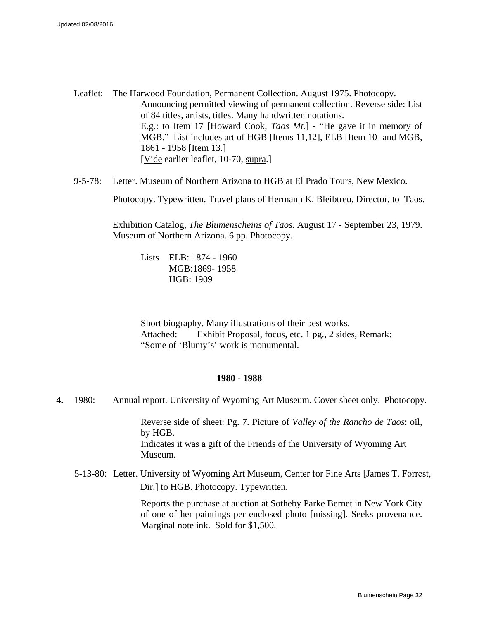- Leaflet: The Harwood Foundation, Permanent Collection. August 1975. Photocopy. Announcing permitted viewing of permanent collection. Reverse side: List of 84 titles, artists, titles. Many handwritten notations. E.g.: to Item 17 [Howard Cook, *Taos Mt.*] - "He gave it in memory of MGB." List includes art of HGB [Items 11,12], ELB [Item 10] and MGB, 1861 - 1958 [Item 13.] [Vide earlier leaflet, 10-70, supra.]
- 9-5-78: Letter. Museum of Northern Arizona to HGB at El Prado Tours, New Mexico.

Photocopy. Typewritten. Travel plans of Hermann K. Bleibtreu, Director, to Taos.

Exhibition Catalog, *The Blumenscheins of Taos.* August 17 - September 23, 1979. Museum of Northern Arizona. 6 pp. Photocopy.

Lists ELB: 1874 - 1960 MGB:1869- 1958 HGB: 1909

Short biography. Many illustrations of their best works. Attached: Exhibit Proposal, focus, etc. 1 pg., 2 sides, Remark: "Some of 'Blumy's' work is monumental.

#### **1980 - 1988**

**4.** 1980: Annual report. University of Wyoming Art Museum. Cover sheet only. Photocopy.

Reverse side of sheet: Pg. 7. Picture of *Valley of the Rancho de Taos*: oil, by HGB. Indicates it was a gift of the Friends of the University of Wyoming Art Museum.

5-13-80: Letter. University of Wyoming Art Museum, Center for Fine Arts [James T. Forrest, Dir.] to HGB. Photocopy. Typewritten.

> Reports the purchase at auction at Sotheby Parke Bernet in New York City of one of her paintings per enclosed photo [missing]. Seeks provenance. Marginal note ink. Sold for \$1,500.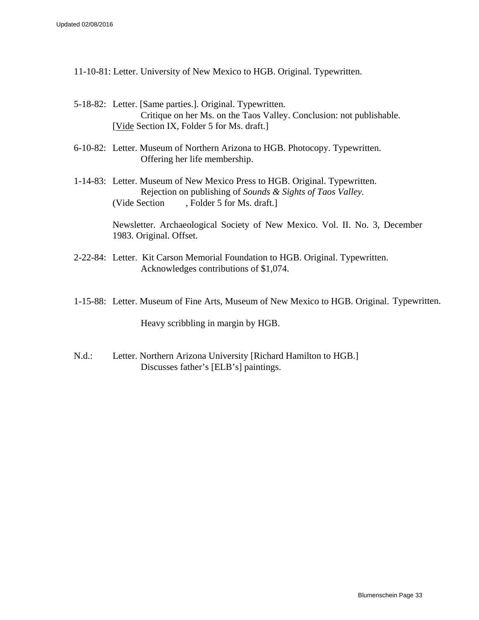- 11-10-81: Letter. University of New Mexico to HGB. Original. Typewritten.
- 5-18-82: Letter. [Same parties.]. Original. Typewritten. Critique on her Ms. on the Taos Valley. Conclusion: not publishable. [Vide Section IX, Folder 5 for Ms. draft.]
- 6-10-82: Letter. Museum of Northern Arizona to HGB. Photocopy. Typewritten. Offering her life membership.
- 1-14-83: Letter. Museum of New Mexico Press to HGB. Original. Typewritten. Rejection on publishing of *Sounds & Sights of Taos Valley.* (Vide Section , Folder 5 for Ms. draft.]

Newsletter. Archaeological Society of New Mexico. Vol. II. No. 3, December 1983. Original. Offset.

- 2-22-84: Letter. Kit Carson Memorial Foundation to HGB. Original. Typewritten. Acknowledges contributions of \$1,074.
- 1-15-88: Letter. Museum of Fine Arts, Museum of New Mexico to HGB. Original. Typewritten.

Heavy scribbling in margin by HGB.

N.d.: Letter. Northern Arizona University [Richard Hamilton to HGB.] Discusses father's [ELB's] paintings.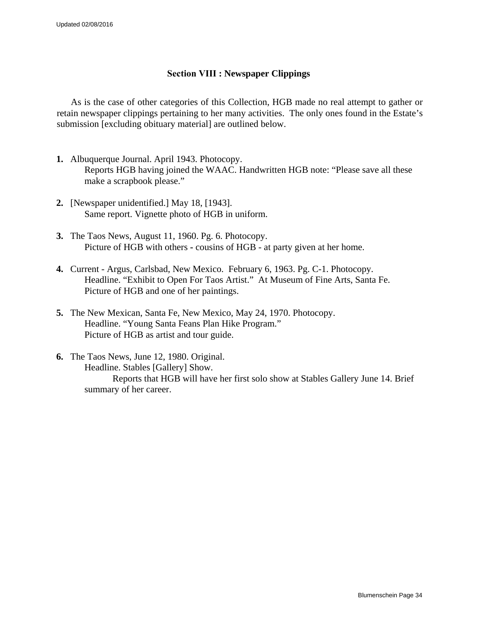### **Section VIII : Newspaper Clippings**

<span id="page-33-0"></span>As is the case of other categories of this Collection, HGB made no real attempt to gather or retain newspaper clippings pertaining to her many activities. The only ones found in the Estate's submission [excluding obituary material] are outlined below.

- **1.** Albuquerque Journal. April 1943. Photocopy. Reports HGB having joined the WAAC. Handwritten HGB note: "Please save all these make a scrapbook please."
- **2.** [Newspaper unidentified.] May 18, [1943]. Same report. Vignette photo of HGB in uniform.
- **3.** The Taos News, August 11, 1960. Pg. 6. Photocopy. Picture of HGB with others **-** cousins of HGB - at party given at her home.
- **4.** Current Argus, Carlsbad, New Mexico. February 6, 1963. Pg. C-1. Photocopy. Headline. "Exhibit to Open For Taos Artist."At Museum of Fine Arts, Santa Fe. Picture of HGB and one of her paintings.
- **5.** The New Mexican, Santa Fe, New Mexico, May 24, 1970. Photocopy. Headline. "Young Santa Feans Plan Hike Program." Picture of HGB as artist and tour guide.
- **6.** The Taos News, June 12, 1980. Original. Headline. Stables [Gallery] Show.

Reports that HGB will have her first solo show at Stables Gallery June 14. Brief summary of her career.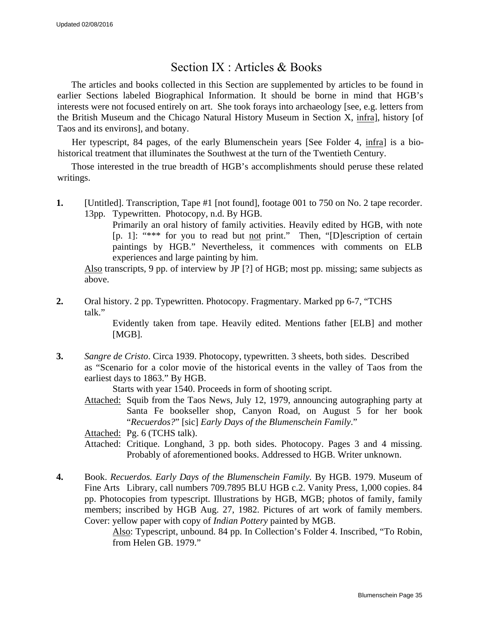## Section IX : Articles & Books

<span id="page-34-0"></span>The articles and books collected in this Section are supplemented by articles to be found in earlier Sections labeled Biographical Information. It should be borne in mind that HGB's interests were not focused entirely on art. She took forays into archaeology [see, e.g. letters from the British Museum and the Chicago Natural History Museum in Section X, infra], history [of Taos and its environs], and botany.

Her typescript, 84 pages, of the early Blumenschein years [See Folder 4, infra] is a biohistorical treatment that illuminates the Southwest at the turn of the Twentieth Century.

Those interested in the true breadth of HGB's accomplishments should peruse these related writings.

**1.** [Untitled]. Transcription, Tape #1 [not found], footage 001 to 750 on No. 2 tape recorder. 13pp. Typewritten. Photocopy, n.d. By HGB.

> Primarily an oral history of family activities. Heavily edited by HGB, with note [p. 1]: "\*\*\* for you to read but not print." Then, "[D]escription of certain paintings by HGB." Nevertheless, it commences with comments on ELB experiences and large painting by him.

Also transcripts, 9 pp. of interview by JP [?] of HGB; most pp. missing; same subjects as above.

**2.** Oral history. 2 pp. Typewritten. Photocopy. Fragmentary. Marked pp 6-7, "TCHS talk."

> Evidently taken from tape. Heavily edited. Mentions father [ELB] and mother [MGB].

**3.** *Sangre de Cristo*. Circa 1939. Photocopy, typewritten. 3 sheets, both sides. Described as "Scenario for a color movie of the historical events in the valley of Taos from the earliest days to 1863." By HGB.

Starts with year 1540. Proceeds in form of shooting script.

Attached: Squib from the Taos News, July 12, 1979, announcing autographing party at Santa Fe bookseller shop, Canyon Road, on August 5 for her book "*Recuerdos?*" [sic] *Early Days of the Blumenschein Family*."

Attached: Pg. 6 (TCHS talk).

- Attached: Critique. Longhand, 3 pp. both sides. Photocopy. Pages 3 and 4 missing. Probably of aforementioned books. Addressed to HGB. Writer unknown.
- **4.** Book. *Recuerdos. Early Days of the Blumenschein Family.* By HGB. 1979. Museum of Fine Arts Library, call numbers 709.7895 BLU HGB c.2. Vanity Press, 1,000 copies. 84 pp. Photocopies from typescript. Illustrations by HGB, MGB; photos of family, family members; inscribed by HGB Aug. 27, 1982. Pictures of art work of family members. Cover: yellow paper with copy of *Indian Pottery* painted by MGB.

Also: Typescript, unbound. 84 pp. In Collection's Folder 4. Inscribed, "To Robin, from Helen GB. 1979."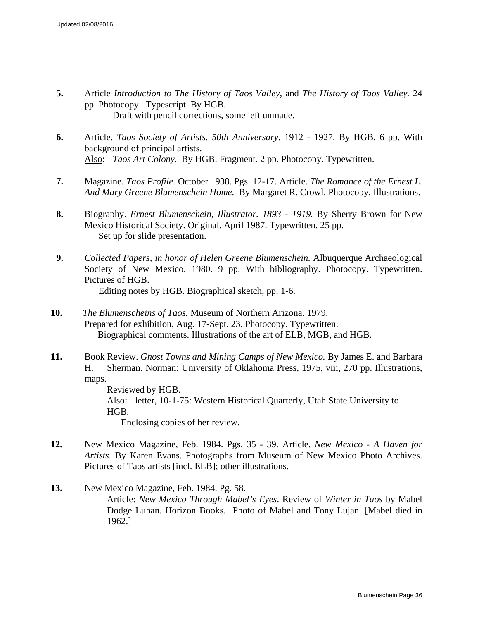- **5.** Article *Introduction to The History of Taos Valley,* and *The History of Taos Valley.* 24 pp. Photocopy. Typescript. By HGB. Draft with pencil corrections, some left unmade.
- **6.** Article. *Taos Society of Artists. 50th Anniversary.* 1912 1927. By HGB. 6 pp. With background of principal artists. Also: *Taos Art Colony.* By HGB. Fragment. 2 pp. Photocopy. Typewritten.
- **7.** Magazine. *Taos Profile.* October 1938. Pgs. 12-17. Article. *The Romance of the Ernest L. And Mary Greene Blumenschein Home.* By Margaret R. Crowl. Photocopy. Illustrations.
- **8.** Biography. *Ernest Blumenschein, Illustrator. 1893 1919.* By Sherry Brown for New Mexico Historical Society. Original. April 1987. Typewritten. 25 pp. Set up for slide presentation.
- **9.** *Collected Papers, in honor of Helen Greene Blumenschein.* Albuquerque Archaeological Society of New Mexico. 1980. 9 pp. With bibliography. Photocopy. Typewritten. Pictures of HGB. Editing notes by HGB. Biographical sketch, pp. 1-6.
- **10.** *The Blumenscheins of Taos.* Museum of Northern Arizona. 1979. Prepared for exhibition, Aug. 17-Sept. 23. Photocopy. Typewritten. Biographical comments. Illustrations of the art of ELB, MGB, and HGB.
- **11.** Book Review. *Ghost Towns and Mining Camps of New Mexico.* By James E. and Barbara H. Sherman. Norman: University of Oklahoma Press, 1975, viii, 270 pp. Illustrations, maps.

Reviewed by HGB. Also: letter, 10-1-75: Western Historical Quarterly, Utah State University to HGB. Enclosing copies of her review.

- **12.** New Mexico Magazine, Feb. 1984. Pgs. 35 39. Article. *New Mexico A Haven for Artists.* By Karen Evans. Photographs from Museum of New Mexico Photo Archives. Pictures of Taos artists [incl. ELB]; other illustrations.
- **13.** New Mexico Magazine, Feb. 1984. Pg. 58. Article: *New Mexico Through Mabel's Eyes*. Review of *Winter in Taos* by Mabel Dodge Luhan. Horizon Books. Photo of Mabel and Tony Lujan. [Mabel died in 1962.]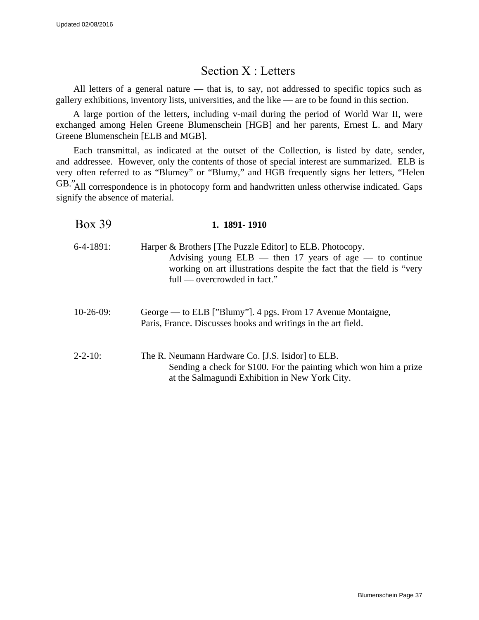## Section X : Letters

<span id="page-36-0"></span>All letters of a general nature — that is, to say, not addressed to specific topics such as gallery exhibitions, inventory lists, universities, and the like — are to be found in this section.

A large portion of the letters, including v-mail during the period of World War II, were exchanged among Helen Greene Blumenschein [HGB] and her parents, Ernest L. and Mary Greene Blumenschein [ELB and MGB].

Each transmittal, as indicated at the outset of the Collection, is listed by date, sender, and addressee. However, only the contents of those of special interest are summarized. ELB is very often referred to as "Blumey" or "Blumy," and HGB frequently signs her letters, "Helen GB." All correspondence is in photocopy form and handwritten unless otherwise indicated. Gaps signify the absence of material.

| <b>Box 39</b>  | 1. 1891 - 1910                                                                                                                                                                                                                 |
|----------------|--------------------------------------------------------------------------------------------------------------------------------------------------------------------------------------------------------------------------------|
| $6-4-1891$ :   | Harper & Brothers [The Puzzle Editor] to ELB. Photocopy.<br>Advising young $ELB$ — then 17 years of age — to continue<br>working on art illustrations despite the fact that the field is "very<br>full — overcrowded in fact." |
| $10-26-09$ :   | George — to ELB ["Blumy"]. 4 pgs. From 17 Avenue Montaigne,<br>Paris, France. Discusses books and writings in the art field.                                                                                                   |
| $2 - 2 - 10$ : | The R. Neumann Hardware Co. [J.S. Isidor] to ELB.<br>Sending a check for \$100. For the painting which won him a prize<br>at the Salmagundi Exhibition in New York City.                                                       |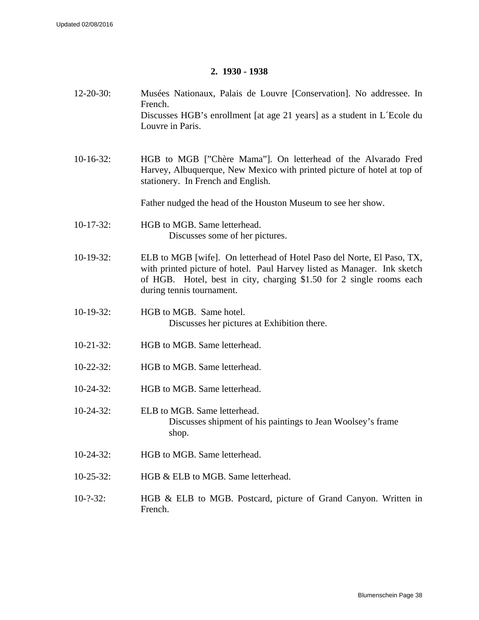### **2. 1930 - 1938**

12-20-30: Musées Nationaux, Palais de Louvre [Conservation]. No addressee. In French. Discusses HGB's enrollment [at age 21 years] as a student in L´Ecole du Louvre in Paris. 10-16-32: HGB to MGB ["Chère Mama"]. On letterhead of the Alvarado Fred Harvey, Albuquerque, New Mexico with printed picture of hotel at top of stationery. In French and English. Father nudged the head of the Houston Museum to see her show. 10-17-32: HGB to MGB. Same letterhead. Discusses some of her pictures. 10-19-32: ELB to MGB [wife]. On letterhead of Hotel Paso del Norte, El Paso, TX, with printed picture of hotel. Paul Harvey listed as Manager. Ink sketch of HGB. Hotel, best in city, charging \$1.50 for 2 single rooms each during tennis tournament. 10-19-32: HGB to MGB. Same hotel. Discusses her pictures at Exhibition there. 10-21-32: HGB to MGB. Same letterhead. 10-22-32: HGB to MGB. Same letterhead. 10-24-32: HGB to MGB. Same letterhead. 10-24-32: ELB to MGB. Same letterhead. Discusses shipment of his paintings to Jean Woolsey's frame shop. 10-24-32: HGB to MGB. Same letterhead. 10-25-32: HGB & ELB to MGB. Same letterhead. 10-?-32: HGB & ELB to MGB. Postcard, picture of Grand Canyon. Written in French.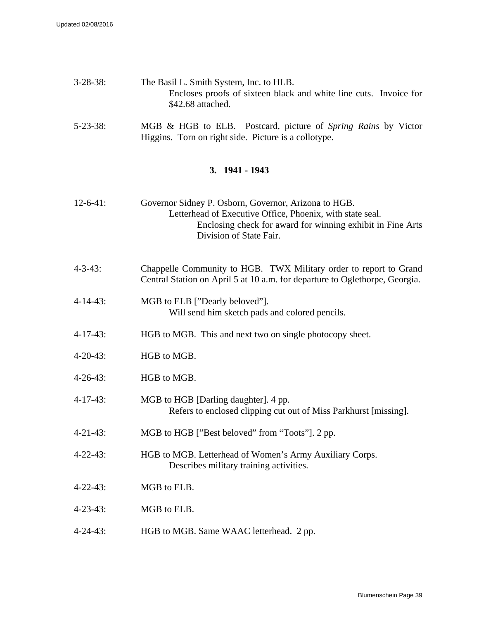| $3 - 28 - 38$ : | The Basil L. Smith System, Inc. to HLB.                           |  |
|-----------------|-------------------------------------------------------------------|--|
|                 | Encloses proofs of sixteen black and white line cuts. Invoice for |  |
|                 | \$42.68 attached.                                                 |  |

5-23-38: MGB & HGB to ELB. Postcard, picture of *Spring Rains* by Victor Higgins. Torn on right side. Picture is a collotype.

### **3. 1941 - 1943**

| $12 - 6 - 41$ : | Governor Sidney P. Osborn, Governor, Arizona to HGB.       |
|-----------------|------------------------------------------------------------|
|                 | Letterhead of Executive Office, Phoenix, with state seal.  |
|                 | Enclosing check for award for winning exhibit in Fine Arts |
|                 | Division of State Fair.                                    |

- 4-3-43: Chappelle Community to HGB. TWX Military order to report to Grand Central Station on April 5 at 10 a.m. for departure to Oglethorpe, Georgia.
- 4-14-43: MGB to ELB ["Dearly beloved"]. Will send him sketch pads and colored pencils.
- 4-17-43: HGB to MGB. This and next two on single photocopy sheet.
- 4-20-43: HGB to MGB.
- 4-26-43: HGB to MGB.
- 4-17-43: MGB to HGB [Darling daughter]. 4 pp. Refers to enclosed clipping cut out of Miss Parkhurst [missing].
- 4-21-43: MGB to HGB ["Best beloved" from "Toots"]. 2 pp.
- 4-22-43: HGB to MGB. Letterhead of Women's Army Auxiliary Corps. Describes military training activities.
- 4-22-43: MGB to ELB.
- 4-23-43: MGB to ELB.
- 4-24-43: HGB to MGB. Same WAAC letterhead. 2 pp.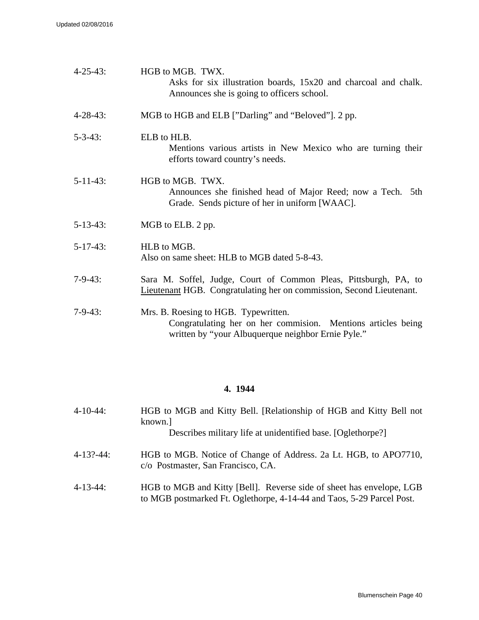| $4 - 25 - 43$ : | HGB to MGB. TWX.<br>Asks for six illustration boards, 15x20 and charcoal and chalk.<br>Announces she is going to officers school.                          |
|-----------------|------------------------------------------------------------------------------------------------------------------------------------------------------------|
| $4 - 28 - 43$ : | MGB to HGB and ELB ["Darling" and "Beloved"]. 2 pp.                                                                                                        |
| $5 - 3 - 43$ :  | ELB to HLB.<br>Mentions various artists in New Mexico who are turning their<br>efforts toward country's needs.                                             |
| $5 - 11 - 43$ : | HGB to MGB. TWX.<br>Announces she finished head of Major Reed; now a Tech. 5th<br>Grade. Sends picture of her in uniform [WAAC].                           |
| $5-13-43$ :     | MGB to ELB. 2 pp.                                                                                                                                          |
| $5-17-43$ :     | HLB to MGB.<br>Also on same sheet: HLB to MGB dated 5-8-43.                                                                                                |
| $7 - 9 - 43$ :  | Sara M. Soffel, Judge, Court of Common Pleas, Pittsburgh, PA, to<br><b>Lieutenant HGB.</b> Congratulating her on commission, Second Lieutenant.            |
| $7-9-43$ :      | Mrs. B. Roesing to HGB. Typewritten.<br>Congratulating her on her commision. Mentions articles being<br>written by "your Albuquerque neighbor Ernie Pyle." |

## **4. 1944**

| $4 - 10 - 44$ : | HGB to MGB and Kitty Bell. [Relationship of HGB and Kitty Bell not<br>known.<br>Describes military life at unidentified base. [Oglethorpe?] |
|-----------------|---------------------------------------------------------------------------------------------------------------------------------------------|
| 4-13?-44:       | HGB to MGB. Notice of Change of Address. 2a Lt. HGB, to APO7710,<br>c/o Postmaster, San Francisco, CA.                                      |
| $A$ 12 $A$      | $\text{HCD}$ to $\text{MCD}$ and $\text{V}$ <sup>1</sup> tty $\text{[D,1]}$ Deverse side of sheet hes envelope. $\text{[CD]}$               |

4-13-44: HGB to MGB and Kitty [Bell]. Reverse side of sheet has envelope, LGB to MGB postmarked Ft. Oglethorpe, 4-14-44 and Taos, 5-29 Parcel Post.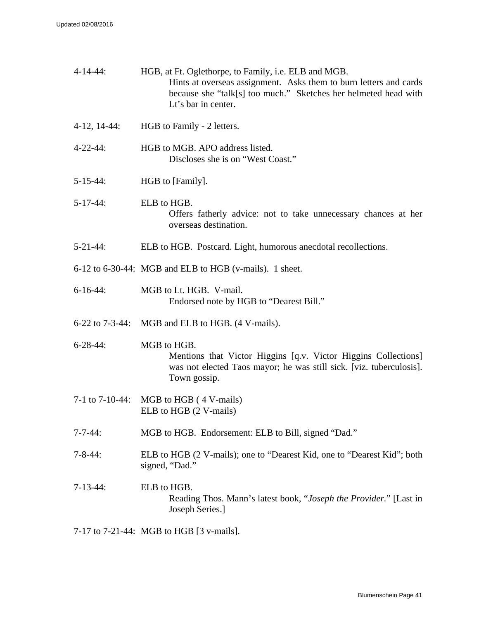| $4 - 14 - 44$ :   | HGB, at Ft. Oglethorpe, to Family, i.e. ELB and MGB.<br>Hints at overseas assignment. Asks them to burn letters and cards<br>because she "talk[s] too much." Sketches her helmeted head with<br>Lt's bar in center. |
|-------------------|---------------------------------------------------------------------------------------------------------------------------------------------------------------------------------------------------------------------|
| $4-12, 14-44:$    | HGB to Family - 2 letters.                                                                                                                                                                                          |
| $4 - 22 - 44$ :   | HGB to MGB. APO address listed.<br>Discloses she is on "West Coast."                                                                                                                                                |
| $5 - 15 - 44$ :   | HGB to [Family].                                                                                                                                                                                                    |
| $5-17-44$ :       | ELB to HGB.<br>Offers fatherly advice: not to take unnecessary chances at her<br>overseas destination.                                                                                                              |
| $5 - 21 - 44$ :   | ELB to HGB. Postcard. Light, humorous anecdotal recollections.                                                                                                                                                      |
|                   | 6-12 to 6-30-44: MGB and ELB to HGB (v-mails). 1 sheet.                                                                                                                                                             |
| $6-16-44$ :       | MGB to Lt. HGB. V-mail.<br>Endorsed note by HGB to "Dearest Bill."                                                                                                                                                  |
| $6-22$ to 7-3-44: | MGB and ELB to HGB. (4 V-mails).                                                                                                                                                                                    |
| $6 - 28 - 44$ :   | MGB to HGB.<br>Mentions that Victor Higgins [q.v. Victor Higgins Collections]<br>was not elected Taos mayor; he was still sick. [viz. tuberculosis].<br>Town gossip.                                                |
| 7-1 to 7-10-44:   | MGB to HGB (4 V-mails)<br>ELB to HGB (2 V-mails)                                                                                                                                                                    |
| $7 - 7 - 44$ :    | MGB to HGB. Endorsement: ELB to Bill, signed "Dad."                                                                                                                                                                 |
| $7 - 8 - 44$ :    | ELB to HGB (2 V-mails); one to "Dearest Kid, one to "Dearest Kid"; both<br>signed, "Dad."                                                                                                                           |
| $7-13-44$ :       | ELB to HGB.<br>Reading Thos. Mann's latest book, "Joseph the Provider." [Last in<br>Joseph Series.]                                                                                                                 |

7-17 to 7-21-44: MGB to HGB [3 v-mails].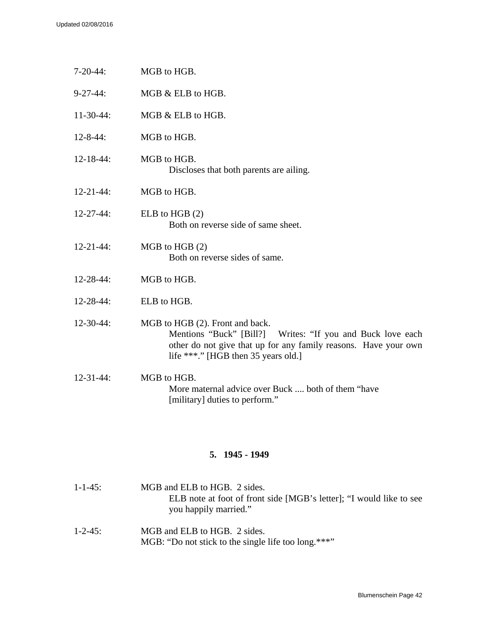| $7-20-44:$       | MGB to HGB.                                                                                                                                                                                             |
|------------------|---------------------------------------------------------------------------------------------------------------------------------------------------------------------------------------------------------|
| $9 - 27 - 44$ :  | MGB & ELB to HGB.                                                                                                                                                                                       |
| $11-30-44:$      | MGB & ELB to HGB.                                                                                                                                                                                       |
| $12 - 8 - 44$ :  | MGB to HGB.                                                                                                                                                                                             |
| $12 - 18 - 44$ : | MGB to HGB.<br>Discloses that both parents are ailing.                                                                                                                                                  |
| $12 - 21 - 44$ : | MGB to HGB.                                                                                                                                                                                             |
| $12 - 27 - 44$ : | ELB to HGB $(2)$<br>Both on reverse side of same sheet.                                                                                                                                                 |
| $12 - 21 - 44$ : | $MGB$ to $HGB(2)$<br>Both on reverse sides of same.                                                                                                                                                     |
| 12-28-44:        | MGB to HGB.                                                                                                                                                                                             |
| $12 - 28 - 44$ : | ELB to HGB.                                                                                                                                                                                             |
| $12 - 30 - 44$ : | MGB to HGB (2). Front and back.<br>Mentions "Buck" [Bill?] Writes: "If you and Buck love each<br>other do not give that up for any family reasons. Have your own<br>life ***." [HGB then 35 years old.] |
| $12 - 31 - 44$ : | MGB to HGB.<br>More maternal advice over Buck  both of them "have<br>[military] duties to perform."                                                                                                     |

## **5. 1945 - 1949**

| $1 - 1 - 4.5$ : | MGB and ELB to HGB. 2 sides.<br>ELB note at foot of front side [MGB's letter]; "I would like to see<br>you happily married." |
|-----------------|------------------------------------------------------------------------------------------------------------------------------|
| $1 - 2 - 45$ :  | MGB and ELB to HGB. 2 sides.                                                                                                 |

MGB: "Do not stick to the single life too long.\*\*\*"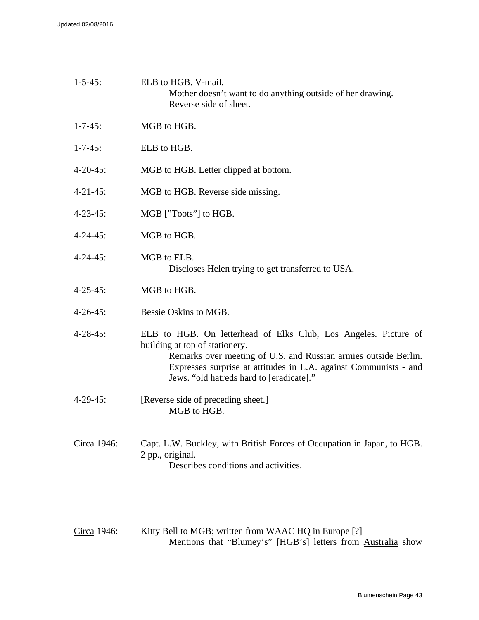| $1 - 5 - 45$ :  | ELB to HGB. V-mail.<br>Mother doesn't want to do anything outside of her drawing.<br>Reverse side of sheet.                                                                                                                                                                          |
|-----------------|--------------------------------------------------------------------------------------------------------------------------------------------------------------------------------------------------------------------------------------------------------------------------------------|
| $1 - 7 - 45$ :  | MGB to HGB.                                                                                                                                                                                                                                                                          |
| $1 - 7 - 45$ :  | ELB to HGB.                                                                                                                                                                                                                                                                          |
| $4 - 20 - 45$ : | MGB to HGB. Letter clipped at bottom.                                                                                                                                                                                                                                                |
| $4 - 21 - 45$ : | MGB to HGB. Reverse side missing.                                                                                                                                                                                                                                                    |
| $4 - 23 - 45$ : | MGB ["Toots"] to HGB.                                                                                                                                                                                                                                                                |
| $4 - 24 - 45$ : | MGB to HGB.                                                                                                                                                                                                                                                                          |
| $4 - 24 - 45$ : | MGB to ELB.<br>Discloses Helen trying to get transferred to USA.                                                                                                                                                                                                                     |
| $4 - 25 - 45$ : | MGB to HGB.                                                                                                                                                                                                                                                                          |
| $4 - 26 - 45$ : | Bessie Oskins to MGB.                                                                                                                                                                                                                                                                |
| $4 - 28 - 45$ : | ELB to HGB. On letterhead of Elks Club, Los Angeles. Picture of<br>building at top of stationery.<br>Remarks over meeting of U.S. and Russian armies outside Berlin.<br>Expresses surprise at attitudes in L.A. against Communists - and<br>Jews. "old hatreds hard to [eradicate]." |
| $4 - 29 - 45$ : | [Reverse side of preceding sheet.]<br>MGB to HGB.                                                                                                                                                                                                                                    |
| Circa 1946:     | Capt. L.W. Buckley, with British Forces of Occupation in Japan, to HGB.<br>2 pp., original.<br>Describes conditions and activities.                                                                                                                                                  |

Circa 1946: Kitty Bell to MGB; written from WAAC HQ in Europe [?] Mentions that "Blumey's" [HGB's] letters from Australia show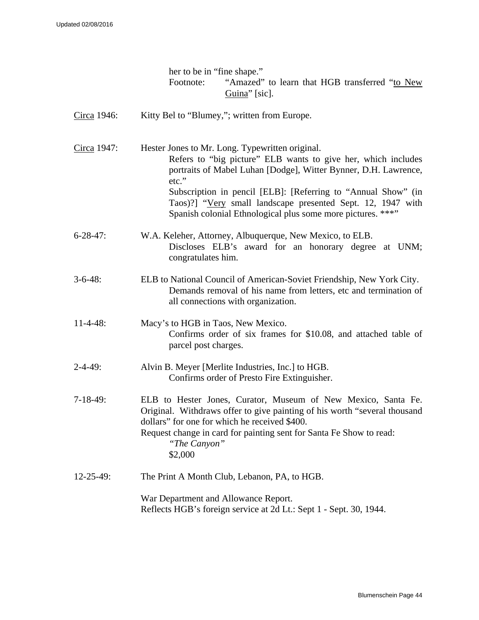|                  | her to be in "fine shape."                                                                                                                                                                                                                                                                                                                                                                  |
|------------------|---------------------------------------------------------------------------------------------------------------------------------------------------------------------------------------------------------------------------------------------------------------------------------------------------------------------------------------------------------------------------------------------|
|                  | "Amazed" to learn that HGB transferred "to New<br>Footnote:<br>Guina" [sic].                                                                                                                                                                                                                                                                                                                |
| Circa 1946:      | Kitty Bel to "Blumey,"; written from Europe.                                                                                                                                                                                                                                                                                                                                                |
| Circa 1947:      | Hester Jones to Mr. Long. Typewritten original.<br>Refers to "big picture" ELB wants to give her, which includes<br>portraits of Mabel Luhan [Dodge], Witter Bynner, D.H. Lawrence,<br>etc."<br>Subscription in pencil [ELB]: [Referring to "Annual Show" (in<br>Taos)?] "Very small landscape presented Sept. 12, 1947 with<br>Spanish colonial Ethnological plus some more pictures. ***" |
| $6 - 28 - 47$ :  | W.A. Keleher, Attorney, Albuquerque, New Mexico, to ELB.<br>Discloses ELB's award for an honorary degree at UNM;<br>congratulates him.                                                                                                                                                                                                                                                      |
| $3-6-48$ :       | ELB to National Council of American-Soviet Friendship, New York City.<br>Demands removal of his name from letters, etc and termination of<br>all connections with organization.                                                                                                                                                                                                             |
| $11-4-48$ :      | Macy's to HGB in Taos, New Mexico.<br>Confirms order of six frames for \$10.08, and attached table of<br>parcel post charges.                                                                                                                                                                                                                                                               |
| $2 - 4 - 49$ :   | Alvin B. Meyer [Merlite Industries, Inc.] to HGB.<br>Confirms order of Presto Fire Extinguisher.                                                                                                                                                                                                                                                                                            |
| $7-18-49$ :      | ELB to Hester Jones, Curator, Museum of New Mexico, Santa Fe.<br>Original. Withdraws offer to give painting of his worth "several thousand<br>dollars" for one for which he received \$400.<br>Request change in card for painting sent for Santa Fe Show to read:<br>"The Canyon"<br>\$2,000                                                                                               |
| $12 - 25 - 49$ : | The Print A Month Club, Lebanon, PA, to HGB.                                                                                                                                                                                                                                                                                                                                                |
|                  | War Department and Allowance Report.<br>Reflects HGB's foreign service at 2d Lt.: Sept 1 - Sept. 30, 1944.                                                                                                                                                                                                                                                                                  |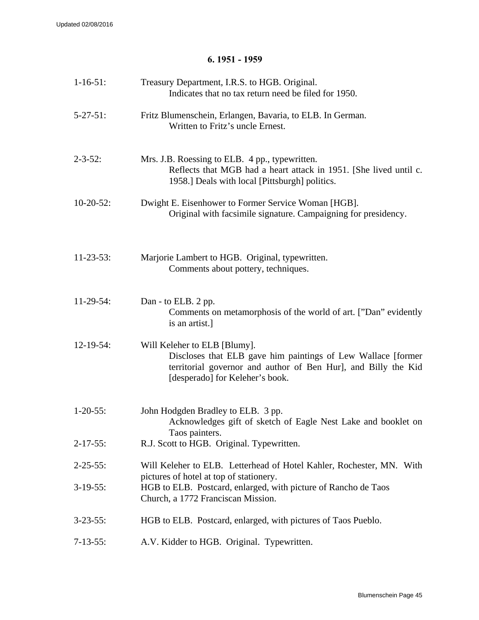### **6. 1951 - 1959**

| $1-16-51$ :     | Treasury Department, I.R.S. to HGB. Original.<br>Indicates that no tax return need be filed for 1950.                                                                                             |
|-----------------|---------------------------------------------------------------------------------------------------------------------------------------------------------------------------------------------------|
| $5 - 27 - 51$ : | Fritz Blumenschein, Erlangen, Bavaria, to ELB. In German.<br>Written to Fritz's uncle Ernest.                                                                                                     |
| $2 - 3 - 52$ :  | Mrs. J.B. Roessing to ELB. 4 pp., typewritten.<br>Reflects that MGB had a heart attack in 1951. [She lived until c.<br>1958.] Deals with local [Pittsburgh] politics.                             |
| $10-20-52$ :    | Dwight E. Eisenhower to Former Service Woman [HGB].<br>Original with facsimile signature. Campaigning for presidency.                                                                             |
| $11-23-53$ :    | Marjorie Lambert to HGB. Original, typewritten.<br>Comments about pottery, techniques.                                                                                                            |
| $11-29-54$ :    | Dan - to ELB. 2 pp.<br>Comments on metamorphosis of the world of art. ["Dan" evidently<br>is an artist.]                                                                                          |
| $12-19-54$ :    | Will Keleher to ELB [Blumy].<br>Discloses that ELB gave him paintings of Lew Wallace [former<br>territorial governor and author of Ben Hur], and Billy the Kid<br>[desperado] for Keleher's book. |
| $1 - 20 - 55$ : | John Hodgden Bradley to ELB. 3 pp.<br>Acknowledges gift of sketch of Eagle Nest Lake and booklet on<br>Taos painters.                                                                             |
| $2 - 17 - 55$ : | R.J. Scott to HGB. Original. Typewritten.                                                                                                                                                         |
| $2 - 25 - 55$ : | Will Keleher to ELB. Letterhead of Hotel Kahler, Rochester, MN. With                                                                                                                              |
| $3-19-55$ :     | pictures of hotel at top of stationery.<br>HGB to ELB. Postcard, enlarged, with picture of Rancho de Taos<br>Church, a 1772 Franciscan Mission.                                                   |
| $3 - 23 - 55$ : | HGB to ELB. Postcard, enlarged, with pictures of Taos Pueblo.                                                                                                                                     |
| $7 - 13 - 55$ : | A.V. Kidder to HGB. Original. Typewritten.                                                                                                                                                        |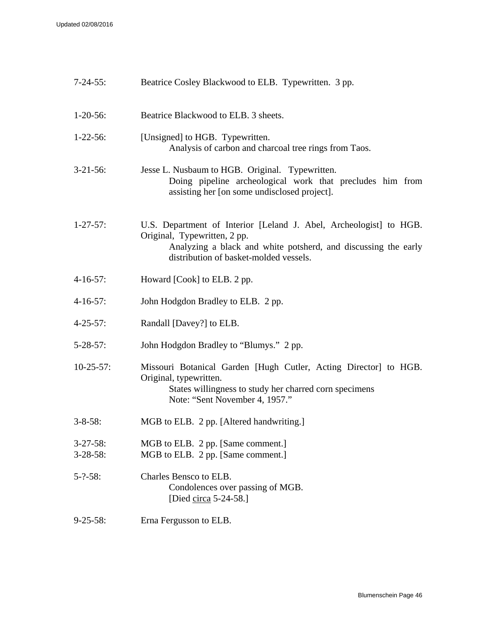| $7 - 24 - 55$ :                | Beatrice Cosley Blackwood to ELB. Typewritten. 3 pp.                                                                                                                                                           |
|--------------------------------|----------------------------------------------------------------------------------------------------------------------------------------------------------------------------------------------------------------|
| $1-20-56$ :                    | Beatrice Blackwood to ELB. 3 sheets.                                                                                                                                                                           |
| $1-22-56$ :                    | [Unsigned] to HGB. Typewritten.<br>Analysis of carbon and charcoal tree rings from Taos.                                                                                                                       |
| $3-21-56$ :                    | Jesse L. Nusbaum to HGB. Original. Typewritten.<br>Doing pipeline archeological work that precludes him from<br>assisting her [on some undisclosed project].                                                   |
| $1 - 27 - 57$ :                | U.S. Department of Interior [Leland J. Abel, Archeologist] to HGB.<br>Original, Typewritten, 2 pp.<br>Analyzing a black and white potsherd, and discussing the early<br>distribution of basket-molded vessels. |
| $4-16-57$ :                    | Howard [Cook] to ELB. 2 pp.                                                                                                                                                                                    |
| $4-16-57$ :                    | John Hodgdon Bradley to ELB. 2 pp.                                                                                                                                                                             |
| $4 - 25 - 57$ :                | Randall [Davey?] to ELB.                                                                                                                                                                                       |
| $5 - 28 - 57$ :                | John Hodgdon Bradley to "Blumys." 2 pp.                                                                                                                                                                        |
| $10-25-57$ :                   | Missouri Botanical Garden [Hugh Cutler, Acting Director] to HGB.<br>Original, typewritten.<br>States willingness to study her charred corn specimens<br>Note: "Sent November 4, 1957."                         |
| $3 - 8 - 58$ :                 | MGB to ELB. 2 pp. [Altered handwriting.]                                                                                                                                                                       |
| $3-27-58$ :<br>$3 - 28 - 58$ : | MGB to ELB. 2 pp. [Same comment.]<br>MGB to ELB. 2 pp. [Same comment.]                                                                                                                                         |
| $5 - ? - 58$ :                 | Charles Bensco to ELB.<br>Condolences over passing of MGB.<br>[Died circa $5-24-58$ .]                                                                                                                         |
| $9 - 25 - 58$ :                | Erna Fergusson to ELB.                                                                                                                                                                                         |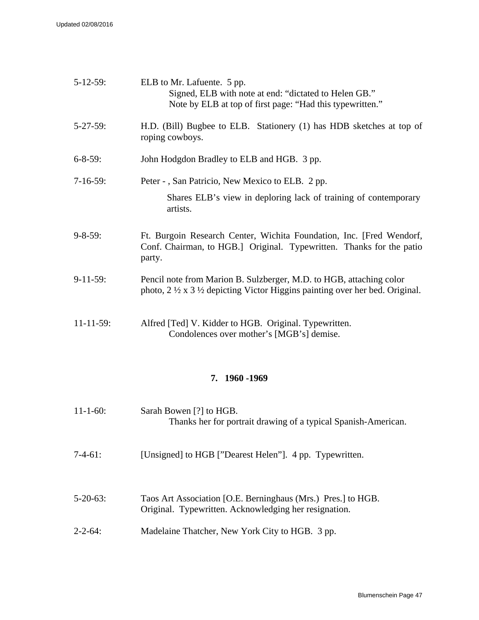| $5 - 12 - 59$ :  | ELB to Mr. Lafuente. 5 pp.<br>Signed, ELB with note at end: "dictated to Helen GB."<br>Note by ELB at top of first page: "Had this typewritten."                             |
|------------------|------------------------------------------------------------------------------------------------------------------------------------------------------------------------------|
| $5 - 27 - 59$ :  | H.D. (Bill) Bugbee to ELB. Stationery (1) has HDB sketches at top of<br>roping cowboys.                                                                                      |
| $6 - 8 - 59$ :   | John Hodgdon Bradley to ELB and HGB. 3 pp.                                                                                                                                   |
| $7-16-59$ :      | Peter - , San Patricio, New Mexico to ELB. 2 pp.<br>Shares ELB's view in deploring lack of training of contemporary<br>artists.                                              |
| $9 - 8 - 59$ :   | Ft. Burgoin Research Center, Wichita Foundation, Inc. [Fred Wendorf,<br>Conf. Chairman, to HGB.] Original. Typewritten. Thanks for the patio<br>party.                       |
| $9-11-59:$       | Pencil note from Marion B. Sulzberger, M.D. to HGB, attaching color<br>photo, $2 \frac{1}{2} \times 3 \frac{1}{2}$ depicting Victor Higgins painting over her bed. Original. |
| $11 - 11 - 59$ : | Alfred [Ted] V. Kidder to HGB. Original. Typewritten.<br>Condolences over mother's [MGB's] demise.                                                                           |

### **7. 1960 -1969**

| $11 - 1 - 60$ : | Sarah Bowen [?] to HGB.<br>Thanks her for portrait drawing of a typical Spanish-American.                             |
|-----------------|-----------------------------------------------------------------------------------------------------------------------|
| $7-4-61$ :      | [Unsigned] to HGB ["Dearest Helen"]. 4 pp. Typewritten.                                                               |
| $5 - 20 - 63$ : | Taos Art Association [O.E. Berninghaus (Mrs.) Pres.] to HGB.<br>Original. Typewritten. Acknowledging her resignation. |
| $2 - 2 - 64$ :  | Madelaine Thatcher, New York City to HGB. 3 pp.                                                                       |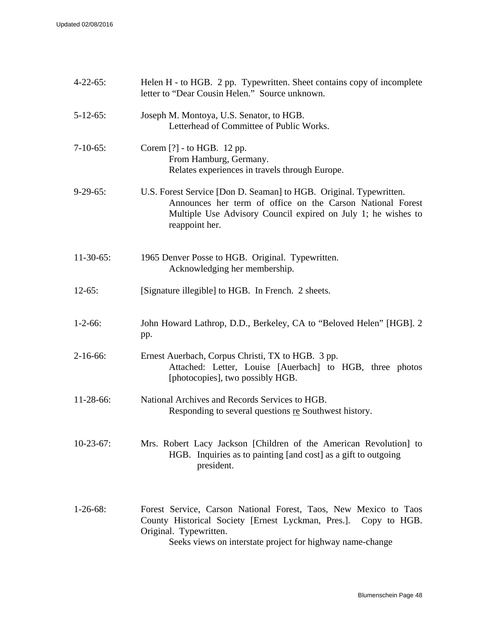| $4 - 22 - 65$ : | Helen H - to HGB. 2 pp. Typewritten. Sheet contains copy of incomplete<br>letter to "Dear Cousin Helen." Source unknown.                                                                                                   |
|-----------------|----------------------------------------------------------------------------------------------------------------------------------------------------------------------------------------------------------------------------|
| $5 - 12 - 65$ : | Joseph M. Montoya, U.S. Senator, to HGB.<br>Letterhead of Committee of Public Works.                                                                                                                                       |
| $7-10-65$ :     | Corem [?] - to HGB. 12 pp.<br>From Hamburg, Germany.<br>Relates experiences in travels through Europe.                                                                                                                     |
| $9-29-65$ :     | U.S. Forest Service [Don D. Seaman] to HGB. Original. Typewritten.<br>Announces her term of office on the Carson National Forest<br>Multiple Use Advisory Council expired on July 1; he wishes to<br>reappoint her.        |
| $11-30-65$ :    | 1965 Denver Posse to HGB. Original. Typewritten.<br>Acknowledging her membership.                                                                                                                                          |
| $12-65:$        | [Signature illegible] to HGB. In French. 2 sheets.                                                                                                                                                                         |
| $1 - 2 - 66$ :  | John Howard Lathrop, D.D., Berkeley, CA to "Beloved Helen" [HGB]. 2<br>pp.                                                                                                                                                 |
| $2-16-66$ :     | Ernest Auerbach, Corpus Christi, TX to HGB. 3 pp.<br>Attached: Letter, Louise [Auerbach] to HGB, three photos<br>[photocopies], two possibly HGB.                                                                          |
| 11-28-66:       | National Archives and Records Services to HGB.<br>Responding to several questions re Southwest history.                                                                                                                    |
| $10-23-67$ :    | Mrs. Robert Lacy Jackson [Children of the American Revolution] to<br>HGB. Inquiries as to painting [and cost] as a gift to outgoing<br>president.                                                                          |
| $1-26-68$ :     | Forest Service, Carson National Forest, Taos, New Mexico to Taos<br>County Historical Society [Ernest Lyckman, Pres.]. Copy to HGB.<br>Original. Typewritten.<br>Sooke views on interstate project for highway name change |

Seeks views on interstate project for highway name-change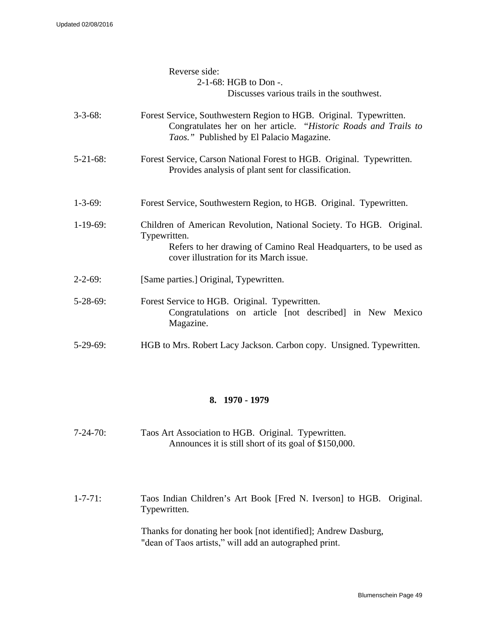|                 | Reverse side:<br>2-1-68: HGB to Don -.<br>Discusses various trails in the southwest.                                                                                                                |
|-----------------|-----------------------------------------------------------------------------------------------------------------------------------------------------------------------------------------------------|
| $3 - 3 - 68$ :  | Forest Service, Southwestern Region to HGB. Original. Typewritten.<br>Congratulates her on her article. "Historic Roads and Trails to<br>Taos." Published by El Palacio Magazine.                   |
| $5-21-68$ :     | Forest Service, Carson National Forest to HGB. Original. Typewritten.<br>Provides analysis of plant sent for classification.                                                                        |
| $1 - 3 - 69$ :  | Forest Service, Southwestern Region, to HGB. Original. Typewritten.                                                                                                                                 |
| $1-19-69$ :     | Children of American Revolution, National Society. To HGB. Original.<br>Typewritten.<br>Refers to her drawing of Camino Real Headquarters, to be used as<br>cover illustration for its March issue. |
| $2 - 2 - 69$ :  | [Same parties.] Original, Typewritten.                                                                                                                                                              |
| $5 - 28 - 69$ : | Forest Service to HGB. Original. Typewritten.<br>Congratulations on article [not described] in New Mexico<br>Magazine.                                                                              |
| $5-29-69$ :     | HGB to Mrs. Robert Lacy Jackson. Carbon copy. Unsigned. Typewritten.                                                                                                                                |

### **8. 1970 - 1979**

7-24-70: Taos Art Association to HGB. Original. Typewritten. Announces it is still short of its goal of \$150,000.

1-7-71: Taos Indian Children's Art Book [Fred N. Iverson] to HGB. Original. Typewritten.

> Thanks for donating her book [not identified]; Andrew Dasburg, "dean of Taos artists," will add an autographed print.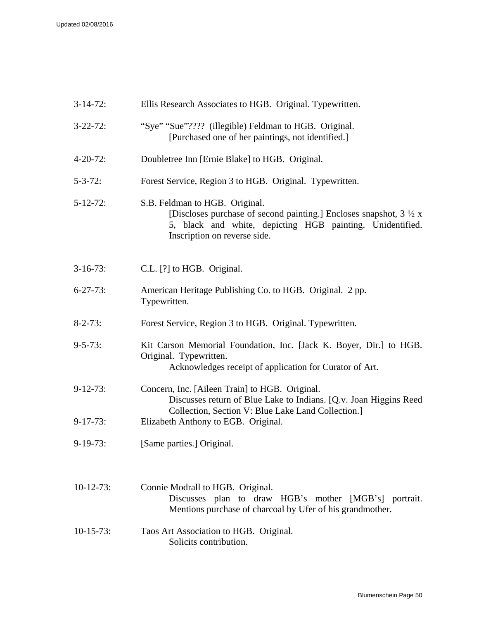| $3-14-72$ :     | Ellis Research Associates to HGB. Original. Typewritten.                                                                                                                                                     |
|-----------------|--------------------------------------------------------------------------------------------------------------------------------------------------------------------------------------------------------------|
| $3 - 22 - 72$ : | "Sye" "Sue"???? (illegible) Feldman to HGB. Original.<br>[Purchased one of her paintings, not identified.]                                                                                                   |
| $4 - 20 - 72$ : | Doubletree Inn [Ernie Blake] to HGB. Original.                                                                                                                                                               |
| $5 - 3 - 72$ :  | Forest Service, Region 3 to HGB. Original. Typewritten.                                                                                                                                                      |
| $5 - 12 - 72$ : | S.B. Feldman to HGB. Original.<br>[Discloses purchase of second painting.] Encloses snapshot, $3 \frac{1}{2} x$<br>5, black and white, depicting HGB painting. Unidentified.<br>Inscription on reverse side. |
| $3-16-73$ :     | C.L. [?] to HGB. Original.                                                                                                                                                                                   |
| $6 - 27 - 73$ : | American Heritage Publishing Co. to HGB. Original. 2 pp.<br>Typewritten.                                                                                                                                     |
| $8 - 2 - 73$ :  | Forest Service, Region 3 to HGB. Original. Typewritten.                                                                                                                                                      |
| $9 - 5 - 73$ :  | Kit Carson Memorial Foundation, Inc. [Jack K. Boyer, Dir.] to HGB.<br>Original. Typewritten.<br>Acknowledges receipt of application for Curator of Art.                                                      |
| $9-12-73$ :     | Concern, Inc. [Aileen Train] to HGB. Original.<br>Discusses return of Blue Lake to Indians. [Q.v. Joan Higgins Reed]<br>Collection, Section V: Blue Lake Land Collection.]                                   |
| $9-17-73$ :     | Elizabeth Anthony to EGB. Original.                                                                                                                                                                          |
| $9-19-73$ :     | [Same parties.] Original.                                                                                                                                                                                    |
| $10-12-73$ :    | Connie Modrall to HGB. Original.<br>Discusses plan to draw HGB's mother [MGB's] portrait.<br>Mentions purchase of charcoal by Ufer of his grandmother.                                                       |
| $10-15-73$ :    | Taos Art Association to HGB. Original.<br>Solicits contribution.                                                                                                                                             |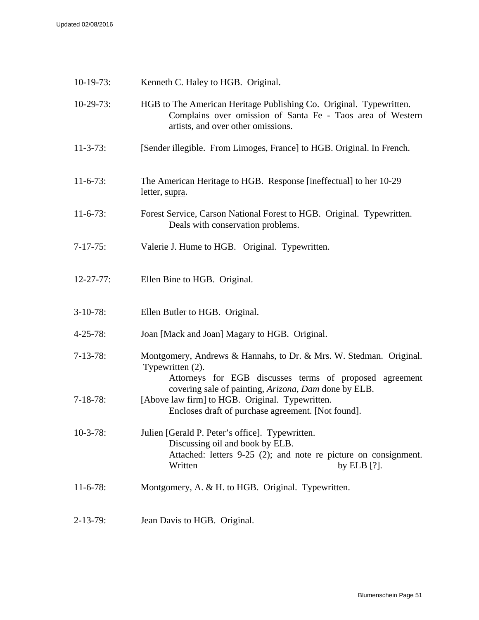| $10-19-73$ :     | Kenneth C. Haley to HGB. Original.                                                                                                                                                                        |
|------------------|-----------------------------------------------------------------------------------------------------------------------------------------------------------------------------------------------------------|
| $10-29-73$ :     | HGB to The American Heritage Publishing Co. Original. Typewritten.<br>Complains over omission of Santa Fe - Taos area of Western<br>artists, and over other omissions.                                    |
| $11 - 3 - 73$ :  | [Sender illegible. From Limoges, France] to HGB. Original. In French.                                                                                                                                     |
| $11-6-73$ :      | The American Heritage to HGB. Response [ineffectual] to her 10-29<br>letter, supra.                                                                                                                       |
| $11-6-73$ :      | Forest Service, Carson National Forest to HGB. Original. Typewritten.<br>Deals with conservation problems.                                                                                                |
| $7 - 17 - 75$ :  | Valerie J. Hume to HGB. Original. Typewritten.                                                                                                                                                            |
| $12 - 27 - 77$ : | Ellen Bine to HGB. Original.                                                                                                                                                                              |
| $3-10-78$ :      | Ellen Butler to HGB. Original.                                                                                                                                                                            |
| $4 - 25 - 78$ :  | Joan [Mack and Joan] Magary to HGB. Original.                                                                                                                                                             |
| $7-13-78$ :      | Montgomery, Andrews & Hannahs, to Dr. & Mrs. W. Stedman. Original.<br>Typewritten (2).<br>Attorneys for EGB discusses terms of proposed agreement<br>covering sale of painting, Arizona, Dam done by ELB. |
| $7-18-78$ :      | [Above law firm] to HGB. Original. Typewritten.<br>Encloses draft of purchase agreement. [Not found].                                                                                                     |
| $10-3-78$ :      | Julien [Gerald P. Peter's office]. Typewritten.<br>Discussing oil and book by ELB.<br>Attached: letters 9-25 (2); and note re picture on consignment.<br>Written<br>by ELB $[?]$ .                        |
| $11-6-78$ :      | Montgomery, A. & H. to HGB. Original. Typewritten.                                                                                                                                                        |
| $2 - 13 - 79$ :  | Jean Davis to HGB. Original.                                                                                                                                                                              |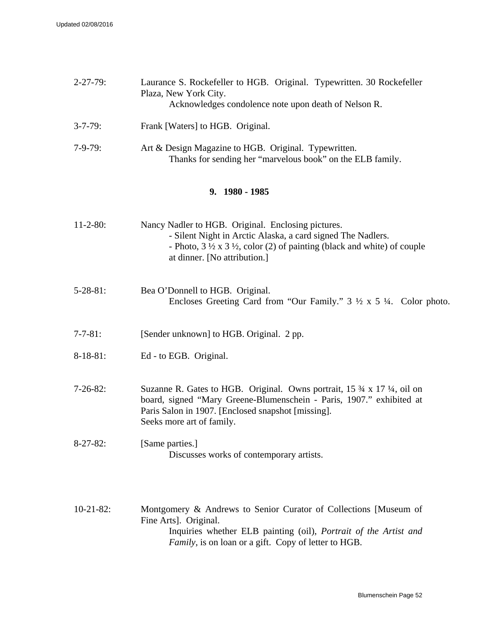| $2 - 27 - 79:$  | Laurance S. Rockefeller to HGB. Original. Typewritten. 30 Rockefeller<br>Plaza, New York City.<br>Acknowledges condolence note upon death of Nelson R.                                                                                                 |  |
|-----------------|--------------------------------------------------------------------------------------------------------------------------------------------------------------------------------------------------------------------------------------------------------|--|
| $3 - 7 - 79$ :  | Frank [Waters] to HGB. Original.                                                                                                                                                                                                                       |  |
| $7-9-79:$       | Art & Design Magazine to HGB. Original. Typewritten.<br>Thanks for sending her "marvelous book" on the ELB family.                                                                                                                                     |  |
| 9. 1980 - 1985  |                                                                                                                                                                                                                                                        |  |
| $11-2-80$ :     | Nancy Nadler to HGB. Original. Enclosing pictures.<br>- Silent Night in Arctic Alaska, a card signed The Nadlers.<br>- Photo, $3 \frac{1}{2} \times 3 \frac{1}{2}$ , color (2) of painting (black and white) of couple<br>at dinner. [No attribution.] |  |
| $5 - 28 - 81$ : | Bea O'Donnell to HGB. Original.<br>Encloses Greeting Card from "Our Family." $3 \frac{1}{2} \times 5 \frac{1}{4}$ . Color photo.                                                                                                                       |  |
| $7 - 7 - 81$ :  | [Sender unknown] to HGB. Original. 2 pp.                                                                                                                                                                                                               |  |
| $8-18-81$ :     | Ed - to EGB. Original.                                                                                                                                                                                                                                 |  |
| $7-26-82$ :     | Suzanne R. Gates to HGB. Original. Owns portrait, 15 3/4 x 17 1/4, oil on<br>board, signed "Mary Greene-Blumenschein - Paris, 1907." exhibited at<br>Paris Salon in 1907. [Enclosed snapshot [missing].<br>Seeks more art of family.                   |  |
| $8-27-82$ :     | [Same parties.]<br>Discusses works of contemporary artists.                                                                                                                                                                                            |  |

10-21-82: Montgomery & Andrews to Senior Curator of Collections [Museum of Fine Arts]. Original. Inquiries whether ELB painting (oil), *Portrait of the Artist and Family*, is on loan or a gift. Copy of letter to HGB.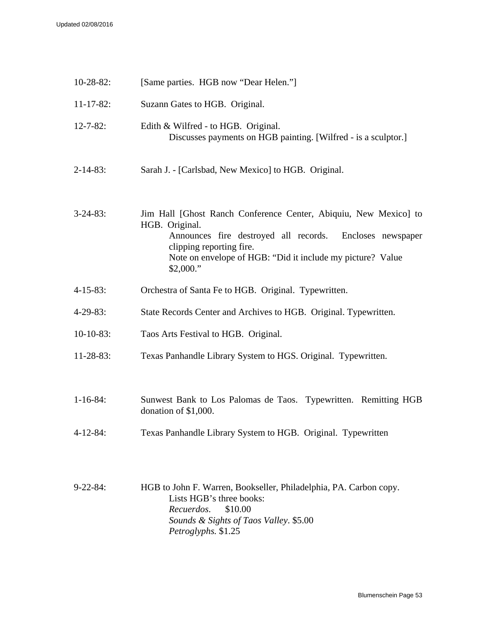| $10 - 28 - 82$ : | [Same parties. HGB now "Dear Helen."]                                                                                                                                                                                                                 |
|------------------|-------------------------------------------------------------------------------------------------------------------------------------------------------------------------------------------------------------------------------------------------------|
| $11 - 17 - 82$ : | Suzann Gates to HGB. Original.                                                                                                                                                                                                                        |
| $12 - 7 - 82$ :  | Edith & Wilfred - to HGB. Original.<br>Discusses payments on HGB painting. [Wilfred - is a sculptor.]                                                                                                                                                 |
| $2 - 14 - 83$ :  | Sarah J. - [Carlsbad, New Mexico] to HGB. Original.                                                                                                                                                                                                   |
| $3 - 24 - 83$ :  | Jim Hall [Ghost Ranch Conference Center, Abiquiu, New Mexico] to<br>HGB. Original.<br>Announces fire destroyed all records. Encloses newspaper<br>clipping reporting fire.<br>Note on envelope of HGB: "Did it include my picture? Value<br>\$2,000." |
| $4 - 15 - 83$ :  | Orchestra of Santa Fe to HGB. Original. Typewritten.                                                                                                                                                                                                  |
| $4-29-83$ :      | State Records Center and Archives to HGB. Original. Typewritten.                                                                                                                                                                                      |
| $10-10-83$ :     | Taos Arts Festival to HGB. Original.                                                                                                                                                                                                                  |
| $11-28-83$ :     | Texas Panhandle Library System to HGS. Original. Typewritten.                                                                                                                                                                                         |
| $1 - 16 - 84$ :  | Sunwest Bank to Los Palomas de Taos. Typewritten. Remitting HGB<br>donation of $$1,000$ .                                                                                                                                                             |
| $4 - 12 - 84$ :  | Texas Panhandle Library System to HGB. Original. Typewritten                                                                                                                                                                                          |
| $9 - 22 - 84$ :  | HGB to John F. Warren, Bookseller, Philadelphia, PA. Carbon copy.<br>Lists HGB's three books:<br>Recuerdos.<br>\$10.00<br>Sounds & Sights of Taos Valley. \$5.00<br>Petroglyphs. \$1.25                                                               |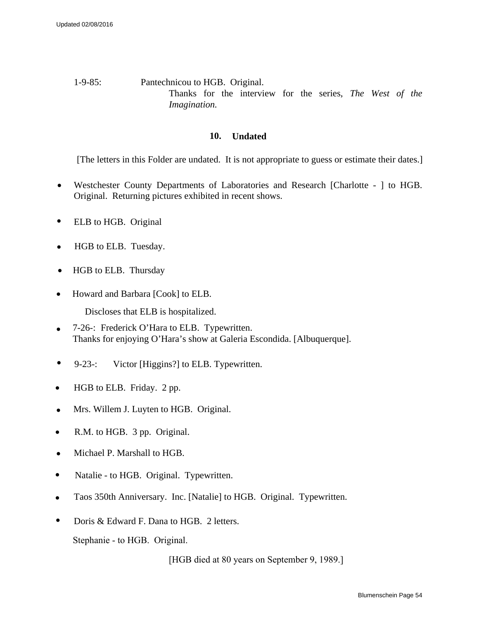### 1-9-85: Pantechnicou to HGB. Original. Thanks for the interview for the series, *The West of the Imagination.*

### **10. Undated**

[The letters in this Folder are undated. It is not appropriate to guess or estimate their dates.]

- Westchester County Departments of Laboratories and Research [Charlotte ] to HGB. Original. Returning pictures exhibited in recent shows.
- ELB to HGB. Original
- HGB to ELB. Tuesday.
- HGB to ELB. Thursday
- Howard and Barbara [Cook] to ELB.

Discloses that ELB is hospitalized.

- 7-26-: Frederick O'Hara to ELB. Typewritten. Thanks for enjoying O'Hara's show at Galeria Escondida. [Albuquerque].
- 9-23-: Victor [Higgins?] to ELB. Typewritten.
- HGB to ELB. Friday. 2 pp.
- Mrs. Willem J. Luyten to HGB. Original.
- R.M. to HGB. 3 pp. Original.
- Michael P. Marshall to HGB.
- Natalie to HGB. Original. Typewritten.
- Taos 350th Anniversary. Inc. [Natalie] to HGB. Original. Typewritten.
- Doris & Edward F. Dana to HGB. 2 letters.

Stephanie - to HGB. Original.

[HGB died at 80 years on September 9, 1989.]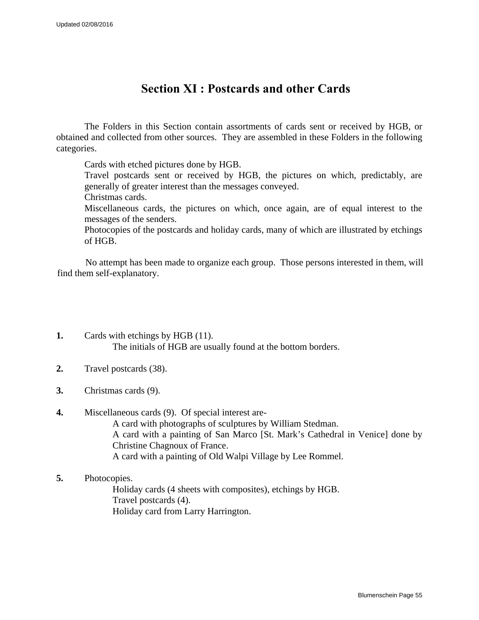## **Section XI : Postcards and other Cards**

<span id="page-54-0"></span>The Folders in this Section contain assortments of cards sent or received by HGB, or obtained and collected from other sources. They are assembled in these Folders in the following categories.

Cards with etched pictures done by HGB.

Travel postcards sent or received by HGB, the pictures on which, predictably, are generally of greater interest than the messages conveyed.

Christmas cards.

Miscellaneous cards, the pictures on which, once again, are of equal interest to the messages of the senders.

Photocopies of the postcards and holiday cards, many of which are illustrated by etchings of HGB.

No attempt has been made to organize each group. Those persons interested in them, will find them self-explanatory.

- **1.** Cards with etchings by HGB (11). The initials of HGB are usually found at the bottom borders.
- **2.** Travel postcards (38).
- **3.** Christmas cards (9).

### **4.** Miscellaneous cards (9). Of special interest are-A card with photographs of sculptures by William Stedman. A card with a painting of San Marco [St. Mark's Cathedral in Venice] done by Christine Chagnoux of France. A card with a painting of Old Walpi Village by Lee Rommel.

**5.** Photocopies.

Holiday cards (4 sheets with composites), etchings by HGB. Travel postcards (4). Holiday card from Larry Harrington.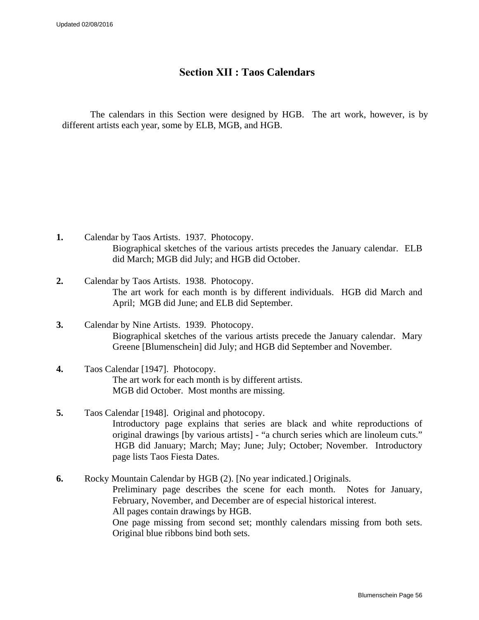## **Section XII : Taos Calendars**

<span id="page-55-0"></span>The calendars in this Section were designed by HGB. The art work, however, is by different artists each year, some by ELB, MGB, and HGB.

- **1.** Calendar by Taos Artists. 1937. Photocopy. Biographical sketches of the various artists precedes the January calendar. ELB did March; MGB did July; and HGB did October.
- **2.** Calendar by Taos Artists. 1938. Photocopy. The art work for each month is by different individuals. HGB did March and April; MGB did June; and ELB did September.
- **3.** Calendar by Nine Artists. 1939. Photocopy. Biographical sketches of the various artists precede the January calendar. Mary Greene [Blumenschein] did July; and HGB did September and November.
- **4.** Taos Calendar [1947]. Photocopy. The art work for each month is by different artists. MGB did October. Most months are missing.
- **5.** Taos Calendar [1948]. Original and photocopy. Introductory page explains that series are black and white reproductions of original drawings [by various artists] - "a church series which are linoleum cuts." HGB did January; March; May; June; July; October; November. Introductory page lists Taos Fiesta Dates.

**6.** Rocky Mountain Calendar by HGB (2). [No year indicated.] Originals. Preliminary page describes the scene for each month. Notes for January, February, November, and December are of especial historical interest. All pages contain drawings by HGB. One page missing from second set; monthly calendars missing from both sets. Original blue ribbons bind both sets.